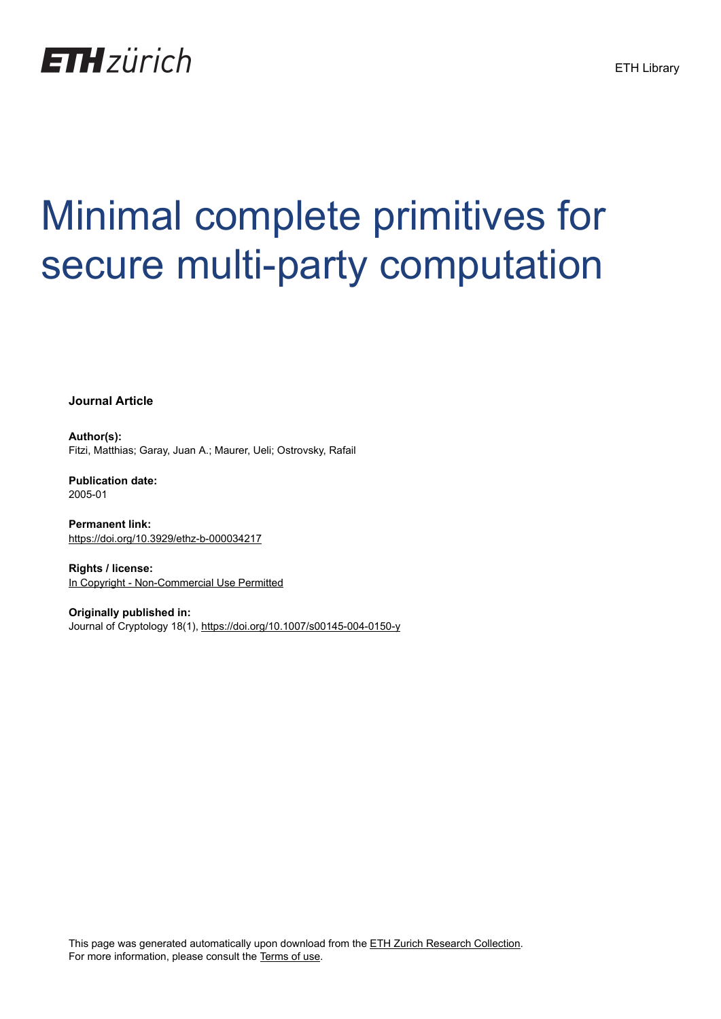

# Minimal complete primitives for secure multi-party computation

**Journal Article**

**Author(s):** Fitzi, Matthias; Garay, Juan A.; Maurer, Ueli; Ostrovsky, Rafail

**Publication date:** 2005-01

**Permanent link:** <https://doi.org/10.3929/ethz-b-000034217>

**Rights / license:** [In Copyright - Non-Commercial Use Permitted](http://rightsstatements.org/page/InC-NC/1.0/)

**Originally published in:** Journal of Cryptology 18(1),<https://doi.org/10.1007/s00145-004-0150-y>

This page was generated automatically upon download from the [ETH Zurich Research Collection.](https://www.research-collection.ethz.ch) For more information, please consult the [Terms of use](https://www.research-collection.ethz.ch/terms-of-use).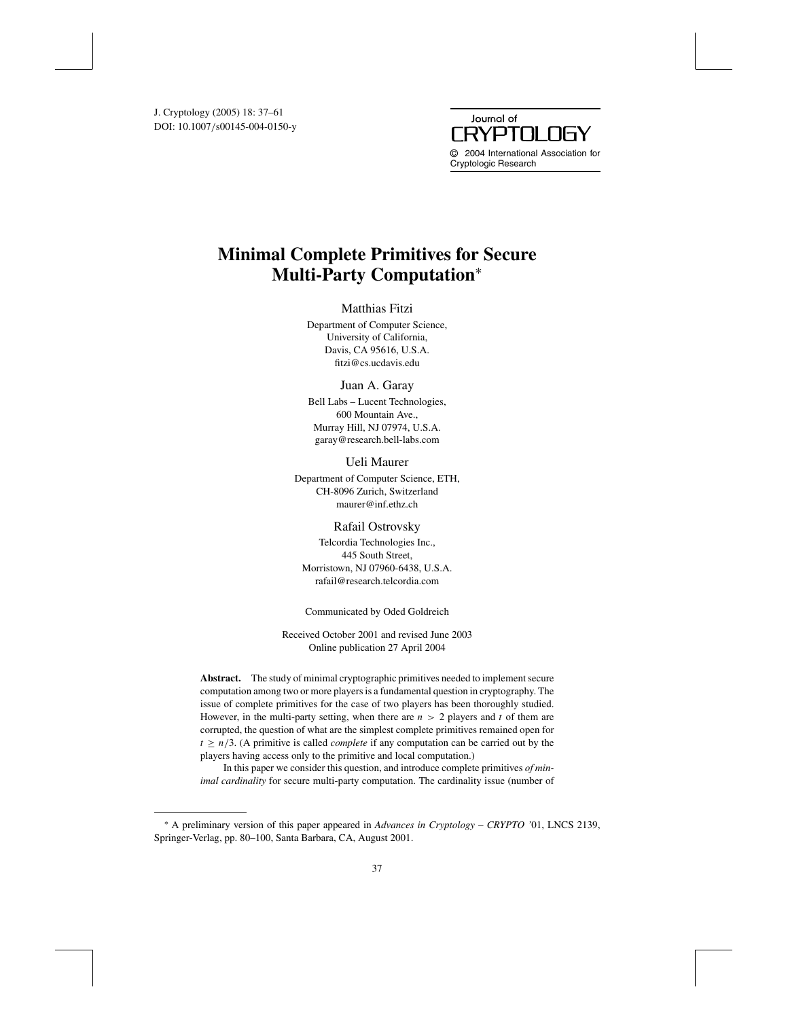DOI: 10.1007/s00145-004-0150-y J. Cryptology (2005) 18: 37–61



# **Minimal Complete Primitives for Secure Multi-Party Computation**<sup>∗</sup>

#### Matthias Fitzi

Department of Computer Science, University of California, Davis, CA 95616, U.S.A. fitzi@cs.ucdavis.edu

#### Juan A. Garay

Bell Labs – Lucent Technologies, 600 Mountain Ave., Murray Hill, NJ 07974, U.S.A. garay@research.bell-labs.com

Ueli Maurer Department of Computer Science, ETH, CH-8096 Zurich, Switzerland maurer@inf.ethz.ch

#### Rafail Ostrovsky

Telcordia Technologies Inc., 445 South Street, Morristown, NJ 07960-6438, U.S.A. rafail@research.telcordia.com

Communicated by Oded Goldreich

Received October 2001 and revised June 2003 Online publication 27 April 2004

**Abstract.** The study of minimal cryptographic primitives needed to implement secure computation among two or more players is a fundamental question in cryptography. The issue of complete primitives for the case of two players has been thoroughly studied. However, in the multi-party setting, when there are  $n > 2$  players and  $t$  of them are corrupted, the question of what are the simplest complete primitives remained open for  $t \geq n/3$ . (A primitive is called *complete* if any computation can be carried out by the players having access only to the primitive and local computation.)

In this paper we consider this question, and introduce complete primitives *of minimal cardinality* for secure multi-party computation. The cardinality issue (number of

<sup>∗</sup> A preliminary version of this paper appeared in *Advances in Cryptology – CRYPTO '*01, LNCS 2139, Springer-Verlag, pp. 80–100, Santa Barbara, CA, August 2001.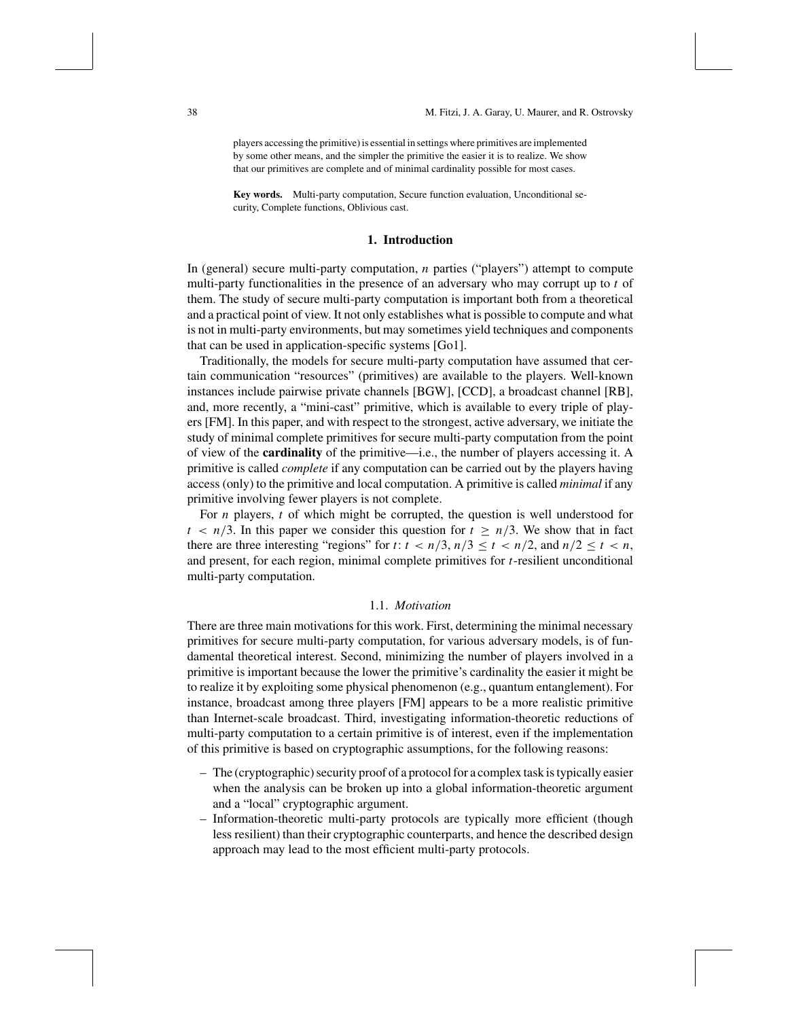players accessing the primitive) is essential in settings where primitives are implemented by some other means, and the simpler the primitive the easier it is to realize. We show that our primitives are complete and of minimal cardinality possible for most cases.

**Key words.** Multi-party computation, Secure function evaluation, Unconditional security, Complete functions, Oblivious cast.

### **1. Introduction**

In (general) secure multi-party computation, *n* parties ("players") attempt to compute multi-party functionalities in the presence of an adversary who may corrupt up to *t* of them. The study of secure multi-party computation is important both from a theoretical and a practical point of view. It not only establishes what is possible to compute and what is not in multi-party environments, but may sometimes yield techniques and components that can be used in application-specific systems [Go1].

Traditionally, the models for secure multi-party computation have assumed that certain communication "resources" (primitives) are available to the players. Well-known instances include pairwise private channels [BGW], [CCD], a broadcast channel [RB], and, more recently, a "mini-cast" primitive, which is available to every triple of players [FM]. In this paper, and with respect to the strongest, active adversary, we initiate the study of minimal complete primitives for secure multi-party computation from the point of view of the **cardinality** of the primitive—i.e., the number of players accessing it. A primitive is called *complete* if any computation can be carried out by the players having access (only) to the primitive and local computation. A primitive is called *minimal* if any primitive involving fewer players is not complete.

For *n* players, *t* of which might be corrupted, the question is well understood for  $t < n/3$ . In this paper we consider this question for  $t \ge n/3$ . We show that in fact there are three interesting "regions" for *t*:  $t < n/3$ ,  $n/3 \le t < n/2$ , and  $n/2 \le t < n$ , and present, for each region, minimal complete primitives for *t*-resilient unconditional multi-party computation.

#### 1.1. *Motivation*

There are three main motivations for this work. First, determining the minimal necessary primitives for secure multi-party computation, for various adversary models, is of fundamental theoretical interest. Second, minimizing the number of players involved in a primitive is important because the lower the primitive's cardinality the easier it might be to realize it by exploiting some physical phenomenon (e.g., quantum entanglement). For instance, broadcast among three players [FM] appears to be a more realistic primitive than Internet-scale broadcast. Third, investigating information-theoretic reductions of multi-party computation to a certain primitive is of interest, even if the implementation of this primitive is based on cryptographic assumptions, for the following reasons:

- The (cryptographic) security proof of a protocol for a complex task is typically easier when the analysis can be broken up into a global information-theoretic argument and a "local" cryptographic argument.
- Information-theoretic multi-party protocols are typically more efficient (though less resilient) than their cryptographic counterparts, and hence the described design approach may lead to the most efficient multi-party protocols.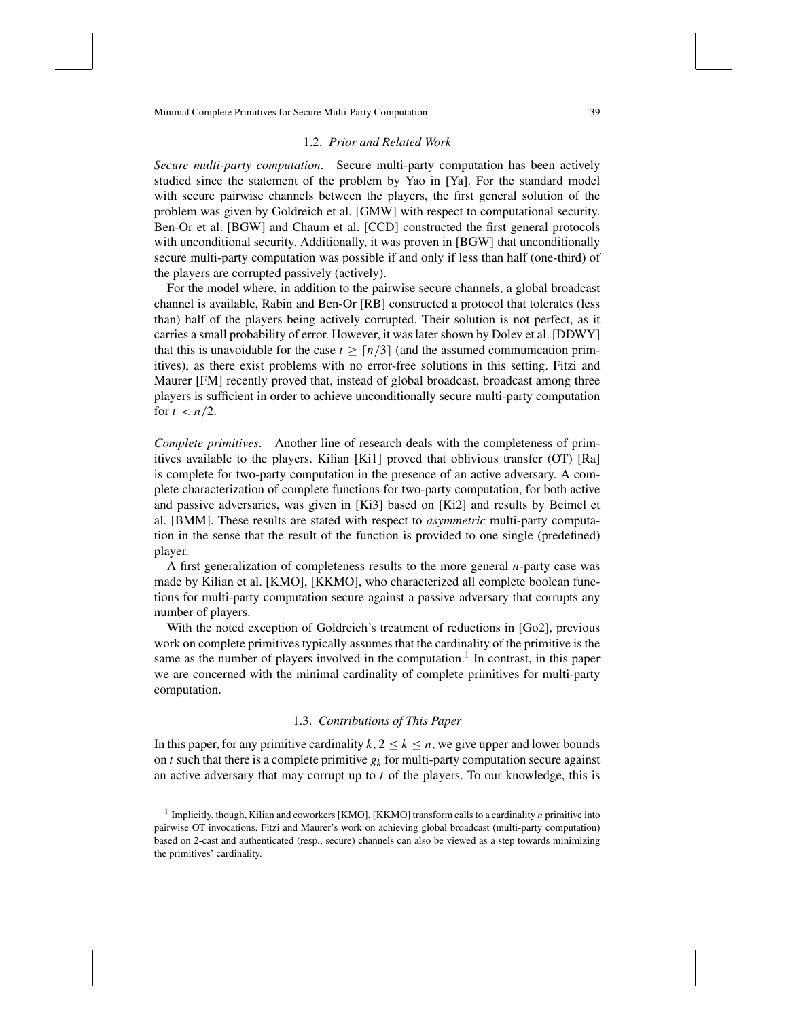#### 1.2. *Prior and Related Work*

*Secure multi-party computation*. Secure multi-party computation has been actively studied since the statement of the problem by Yao in [Ya]. For the standard model with secure pairwise channels between the players, the first general solution of the problem was given by Goldreich et al. [GMW] with respect to computational security. Ben-Or et al. [BGW] and Chaum et al. [CCD] constructed the first general protocols with unconditional security. Additionally, it was proven in [BGW] that unconditionally secure multi-party computation was possible if and only if less than half (one-third) of the players are corrupted passively (actively).

For the model where, in addition to the pairwise secure channels, a global broadcast channel is available, Rabin and Ben-Or [RB] constructed a protocol that tolerates (less than) half of the players being actively corrupted. Their solution is not perfect, as it carries a small probability of error. However, it was later shown by Dolev et al. [DDWY] that this is unavoidable for the case  $t \geq \lceil n/3 \rceil$  (and the assumed communication primitives), as there exist problems with no error-free solutions in this setting. Fitzi and Maurer [FM] recently proved that, instead of global broadcast, broadcast among three players is sufficient in order to achieve unconditionally secure multi-party computation for  $t < n/2$ .

*Complete primitives*. Another line of research deals with the completeness of primitives available to the players. Kilian [Ki1] proved that oblivious transfer (OT) [Ra] is complete for two-party computation in the presence of an active adversary. A complete characterization of complete functions for two-party computation, for both active and passive adversaries, was given in [Ki3] based on [Ki2] and results by Beimel et al. [BMM]. These results are stated with respect to *asymmetric* multi-party computation in the sense that the result of the function is provided to one single (predefined) player.

A first generalization of completeness results to the more general *n*-party case was made by Kilian et al. [KMO], [KKMO], who characterized all complete boolean functions for multi-party computation secure against a passive adversary that corrupts any number of players.

With the noted exception of Goldreich's treatment of reductions in [Go2], previous work on complete primitives typically assumes that the cardinality of the primitive is the same as the number of players involved in the computation.<sup>1</sup> In contrast, in this paper we are concerned with the minimal cardinality of complete primitives for multi-party computation.

# 1.3. *Contributions of This Paper*

In this paper, for any primitive cardinality  $k, 2 \le k \le n$ , we give upper and lower bounds on *t* such that there is a complete primitive *gk* for multi-party computation secure against an active adversary that may corrupt up to *t* of the players. To our knowledge, this is

<sup>1</sup> Implicitly, though, Kilian and coworkers [KMO], [KKMO] transform calls to a cardinality *n* primitive into pairwise OT invocations. Fitzi and Maurer's work on achieving global broadcast (multi-party computation) based on 2-cast and authenticated (resp., secure) channels can also be viewed as a step towards minimizing the primitives' cardinality.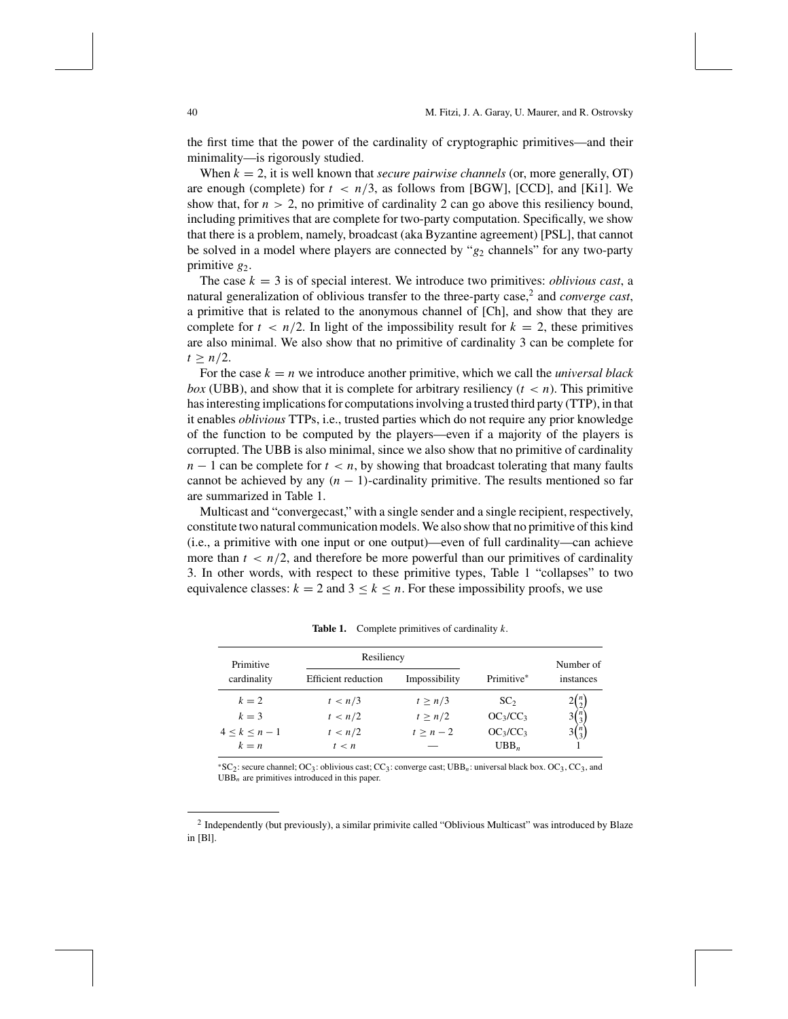the first time that the power of the cardinality of cryptographic primitives—and their minimality—is rigorously studied.

When  $k = 2$ , it is well known that *secure pairwise channels* (or, more generally, OT) are enough (complete) for  $t < n/3$ , as follows from [BGW], [CCD], and [Ki1]. We show that, for  $n > 2$ , no primitive of cardinality 2 can go above this resiliency bound, including primitives that are complete for two-party computation. Specifically, we show that there is a problem, namely, broadcast (aka Byzantine agreement) [PSL], that cannot be solved in a model where players are connected by "*g*<sup>2</sup> channels" for any two-party primitive  $g_2$ .

The case  $k = 3$  is of special interest. We introduce two primitives: *oblivious cast*, a natural generalization of oblivious transfer to the three-party case,<sup>2</sup> and *converge cast*, a primitive that is related to the anonymous channel of [Ch], and show that they are complete for  $t < n/2$ . In light of the impossibility result for  $k = 2$ , these primitives are also minimal. We also show that no primitive of cardinality 3 can be complete for  $t > n/2$ .

For the case  $k = n$  we introduce another primitive, which we call the *universal black box* (UBB), and show that it is complete for arbitrary resiliency  $(t < n)$ . This primitive has interesting implications for computations involving a trusted third party (TTP), in that it enables *oblivious* TTPs, i.e., trusted parties which do not require any prior knowledge of the function to be computed by the players—even if a majority of the players is corrupted. The UBB is also minimal, since we also show that no primitive of cardinality *n* − 1 can be complete for *t* < *n*, by showing that broadcast tolerating that many faults cannot be achieved by any  $(n - 1)$ -cardinality primitive. The results mentioned so far are summarized in Table 1.

Multicast and "convergecast," with a single sender and a single recipient, respectively, constitute two natural communication models. We also show that no primitive of this kind (i.e., a primitive with one input or one output)—even of full cardinality—can achieve more than  $t < n/2$ , and therefore be more powerful than our primitives of cardinality 3. In other words, with respect to these primitive types, Table 1 "collapses" to two equivalence classes:  $k = 2$  and  $3 \le k \le n$ . For these impossibility proofs, we use

| Primitive       | Resiliency                 |               |                                  | Number of       |
|-----------------|----------------------------|---------------|----------------------------------|-----------------|
| cardinality     | <b>Efficient</b> reduction | Impossibility | Primitive*                       | instances       |
| $k=2$           | t < n/3                    | $t \geq n/3$  | SC <sub>2</sub>                  | $2\binom{n}{2}$ |
| $k=3$           | t < n/2                    | $t \geq n/2$  | OC <sub>3</sub> /CC <sub>3</sub> |                 |
| $4 < k < n - 1$ | t < n/2                    | $t > n - 2$   | OC <sub>3</sub> /CC <sub>3</sub> |                 |
| $k = n$         | t < n                      |               | UBB <sub>n</sub>                 |                 |

**Table 1.** Complete primitives of cardinality *k*.

<sup>∗</sup>SC2: secure channel; OC3: oblivious cast; CC3: converge cast; UBB*<sup>n</sup>* : universal black box. OC3, CC3, and UBB*<sup>n</sup>* are primitives introduced in this paper.

<sup>2</sup> Independently (but previously), a similar primivite called "Oblivious Multicast" was introduced by Blaze in [Bl].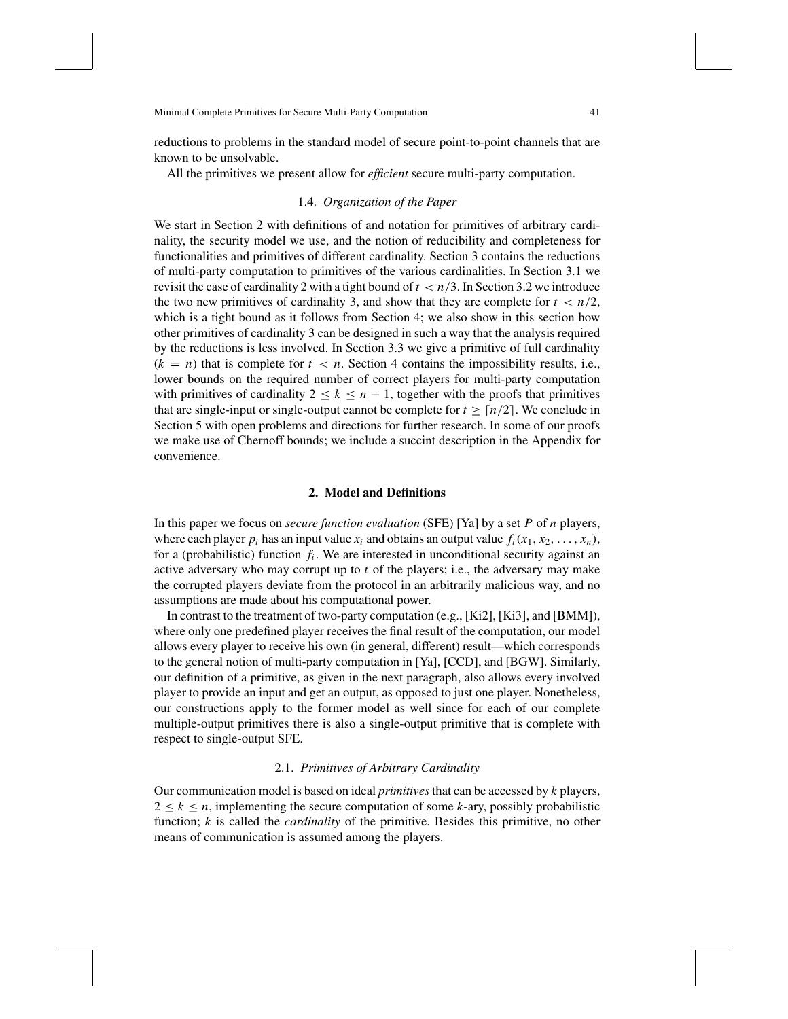reductions to problems in the standard model of secure point-to-point channels that are known to be unsolvable.

All the primitives we present allow for *efficient* secure multi-party computation.

#### 1.4. *Organization of the Paper*

We start in Section 2 with definitions of and notation for primitives of arbitrary cardinality, the security model we use, and the notion of reducibility and completeness for functionalities and primitives of different cardinality. Section 3 contains the reductions of multi-party computation to primitives of the various cardinalities. In Section 3.1 we revisit the case of cardinality 2 with a tight bound of *t* < *n*/3. In Section 3.2 we introduce the two new primitives of cardinality 3, and show that they are complete for  $t < n/2$ , which is a tight bound as it follows from Section 4; we also show in this section how other primitives of cardinality 3 can be designed in such a way that the analysis required by the reductions is less involved. In Section 3.3 we give a primitive of full cardinality  $(k = n)$  that is complete for  $t < n$ . Section 4 contains the impossibility results, i.e., lower bounds on the required number of correct players for multi-party computation with primitives of cardinality  $2 \leq k \leq n-1$ , together with the proofs that primitives that are single-input or single-output cannot be complete for  $t \geq \lceil n/2 \rceil$ . We conclude in Section 5 with open problems and directions for further research. In some of our proofs we make use of Chernoff bounds; we include a succint description in the Appendix for convenience.

# **2. Model and Definitions**

In this paper we focus on *secure function evaluation* (SFE) [Ya] by a set *P* of *n* players, where each player  $p_i$  has an input value  $x_i$  and obtains an output value  $f_i(x_1, x_2, \ldots, x_n)$ , for a (probabilistic) function *fi* . We are interested in unconditional security against an active adversary who may corrupt up to *t* of the players; i.e., the adversary may make the corrupted players deviate from the protocol in an arbitrarily malicious way, and no assumptions are made about his computational power.

In contrast to the treatment of two-party computation (e.g., [Ki2], [Ki3], and [BMM]), where only one predefined player receives the final result of the computation, our model allows every player to receive his own (in general, different) result—which corresponds to the general notion of multi-party computation in [Ya], [CCD], and [BGW]. Similarly, our definition of a primitive, as given in the next paragraph, also allows every involved player to provide an input and get an output, as opposed to just one player. Nonetheless, our constructions apply to the former model as well since for each of our complete multiple-output primitives there is also a single-output primitive that is complete with respect to single-output SFE.

# 2.1. *Primitives of Arbitrary Cardinality*

Our communication model is based on ideal *primitives*that can be accessed by *k* players,  $2 \leq k \leq n$ , implementing the secure computation of some *k*-ary, possibly probabilistic function; *k* is called the *cardinality* of the primitive. Besides this primitive, no other means of communication is assumed among the players.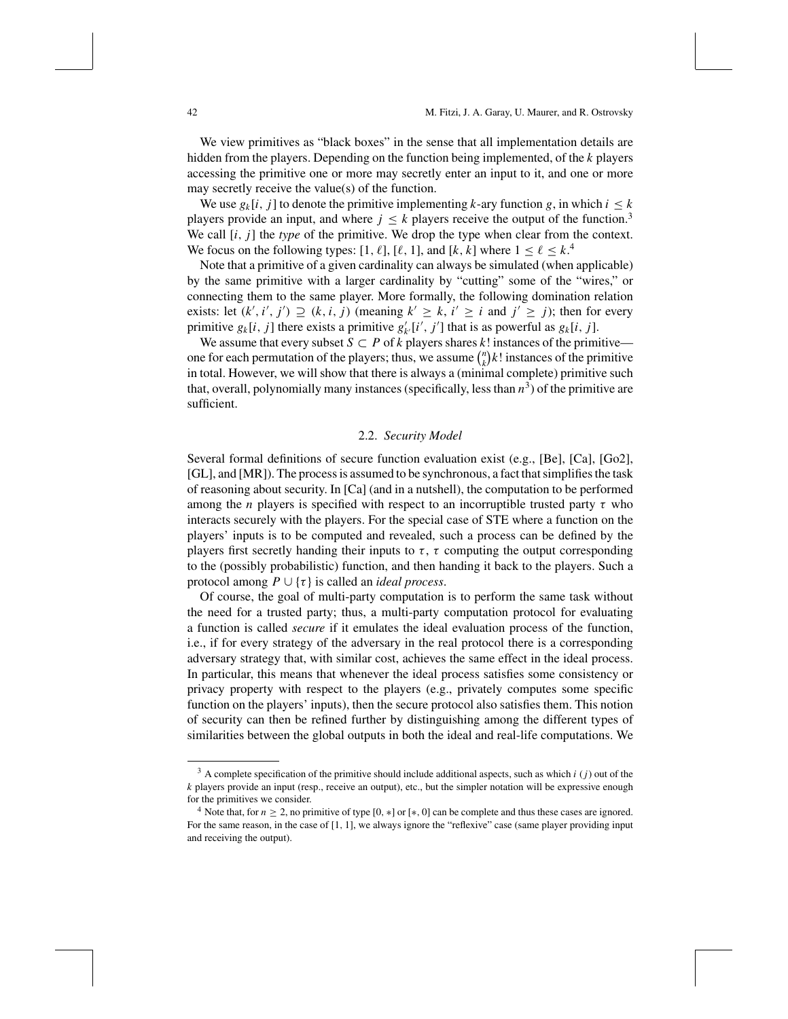We view primitives as "black boxes" in the sense that all implementation details are hidden from the players. Depending on the function being implemented, of the *k* players accessing the primitive one or more may secretly enter an input to it, and one or more may secretly receive the value(s) of the function.

We use  $g_k[i, j]$  to denote the primitive implementing *k*-ary function *g*, in which  $i \leq k$ players provide an input, and where  $j \leq k$  players receive the output of the function.<sup>3</sup> We call [*i*, *j*] the *type* of the primitive. We drop the type when clear from the context. We focus on the following types: [1,  $\ell$ ], [ $\ell$ , 1], and [ $k$ ,  $k$ ] where  $1 \leq \ell \leq k$ <sup>4</sup>.

Note that a primitive of a given cardinality can always be simulated (when applicable) by the same primitive with a larger cardinality by "cutting" some of the "wires," or connecting them to the same player. More formally, the following domination relation exists: let  $(k', i', j') \supseteq (k, i, j)$  (meaning  $k' \geq k, i' \geq i$  and  $j' \geq j$ ); then for every primitive  $g_k[i, j]$  there exists a primitive  $g'_{k'}[i', j']$  that is as powerful as  $g_k[i, j]$ .

We assume that every subset  $S \subset P$  of *k* players shares *k*! instances of the primitive one for each permutation of the players; thus, we assume  $\binom{n}{k}k!$  instances of the primitive in total. However, we will show that there is always a (minimal complete) primitive such that, overall, polynomially many instances (specifically, less than  $n<sup>3</sup>$ ) of the primitive are sufficient.

#### 2.2. *Security Model*

Several formal definitions of secure function evaluation exist (e.g., [Be], [Ca], [Go2], [GL], and [MR]). The process is assumed to be synchronous, a fact that simplifies the task of reasoning about security. In [Ca] (and in a nutshell), the computation to be performed among the *n* players is specified with respect to an incorruptible trusted party  $\tau$  who interacts securely with the players. For the special case of STE where a function on the players' inputs is to be computed and revealed, such a process can be defined by the players first secretly handing their inputs to  $\tau$ ,  $\tau$  computing the output corresponding to the (possibly probabilistic) function, and then handing it back to the players. Such a protocol among  $P \cup \{\tau\}$  is called an *ideal process*.

Of course, the goal of multi-party computation is to perform the same task without the need for a trusted party; thus, a multi-party computation protocol for evaluating a function is called *secure* if it emulates the ideal evaluation process of the function, i.e., if for every strategy of the adversary in the real protocol there is a corresponding adversary strategy that, with similar cost, achieves the same effect in the ideal process. In particular, this means that whenever the ideal process satisfies some consistency or privacy property with respect to the players (e.g., privately computes some specific function on the players' inputs), then the secure protocol also satisfies them. This notion of security can then be refined further by distinguishing among the different types of similarities between the global outputs in both the ideal and real-life computations. We

<sup>3</sup> A complete specification of the primitive should include additional aspects, such as which *i* (*j*) out of the *k* players provide an input (resp., receive an output), etc., but the simpler notation will be expressive enough for the primitives we consider.

<sup>&</sup>lt;sup>4</sup> Note that, for  $n > 2$ , no primitive of type [0,  $\ast$ ] or [ $\ast$ , 0] can be complete and thus these cases are ignored. For the same reason, in the case of [1, 1], we always ignore the "reflexive" case (same player providing input and receiving the output).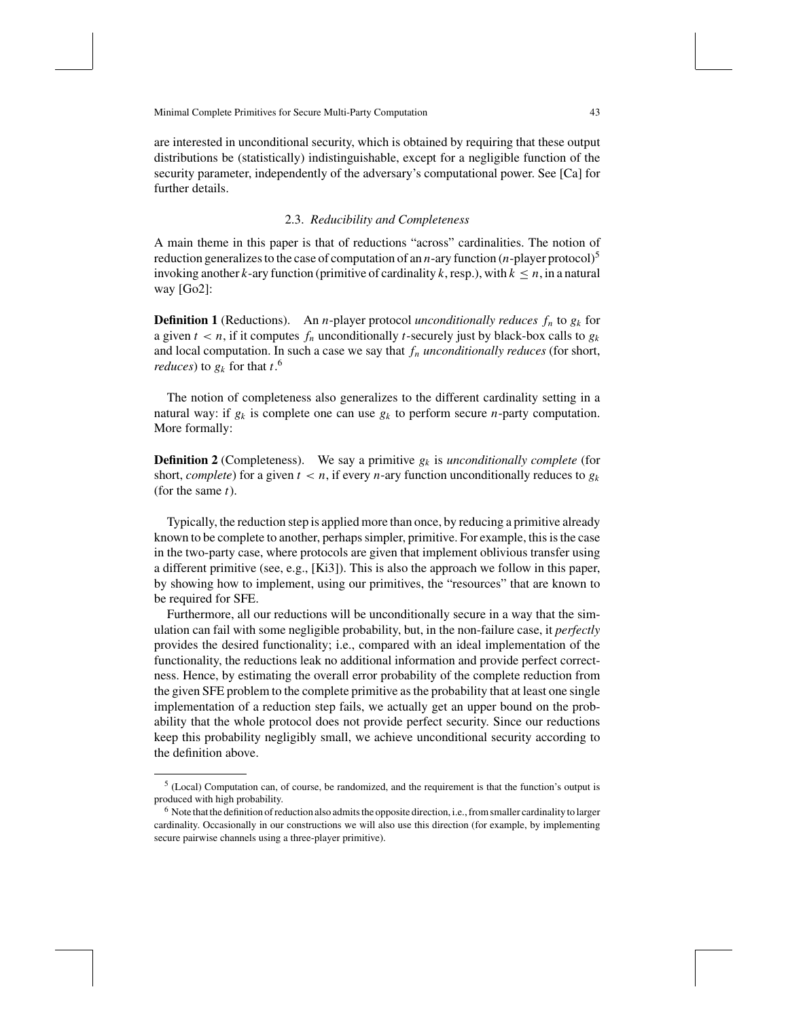are interested in unconditional security, which is obtained by requiring that these output distributions be (statistically) indistinguishable, except for a negligible function of the security parameter, independently of the adversary's computational power. See [Ca] for further details.

# 2.3. *Reducibility and Completeness*

A main theme in this paper is that of reductions "across" cardinalities. The notion of reduction generalizes to the case of computation of an *n*-ary function (*n*-player protocol)<sup>5</sup> invoking another *k*-ary function (primitive of cardinality *k*, resp.), with  $k \leq n$ , in a natural way [Go2]:

**Definition 1** (Reductions). An *n*-player protocol *unconditionally reduces*  $f_n$  to  $g_k$  for a given  $t < n$ , if it computes  $f_n$  unconditionally *t*-securely just by black-box calls to  $g_k$ and local computation. In such a case we say that  $f_n$  *unconditionally reduces* (for short, *reduces*) to  $g_k$  for that  $t$ .<sup>6</sup>

The notion of completeness also generalizes to the different cardinality setting in a natural way: if  $g_k$  is complete one can use  $g_k$  to perform secure *n*-party computation. More formally:

**Definition 2** (Completeness). We say a primitive  $g_k$  is *unconditionally complete* (for short, *complete*) for a given  $t < n$ , if every *n*-ary function unconditionally reduces to  $g_k$ (for the same *t*).

Typically, the reduction step is applied more than once, by reducing a primitive already known to be complete to another, perhaps simpler, primitive. For example, this is the case in the two-party case, where protocols are given that implement oblivious transfer using a different primitive (see, e.g., [Ki3]). This is also the approach we follow in this paper, by showing how to implement, using our primitives, the "resources" that are known to be required for SFE.

Furthermore, all our reductions will be unconditionally secure in a way that the simulation can fail with some negligible probability, but, in the non-failure case, it *perfectly* provides the desired functionality; i.e., compared with an ideal implementation of the functionality, the reductions leak no additional information and provide perfect correctness. Hence, by estimating the overall error probability of the complete reduction from the given SFE problem to the complete primitive as the probability that at least one single implementation of a reduction step fails, we actually get an upper bound on the probability that the whole protocol does not provide perfect security. Since our reductions keep this probability negligibly small, we achieve unconditional security according to the definition above.

<sup>5</sup> (Local) Computation can, of course, be randomized, and the requirement is that the function's output is produced with high probability.

 $6$  Note that the definition of reduction also admits the opposite direction, i.e., from smaller cardinality to larger cardinality. Occasionally in our constructions we will also use this direction (for example, by implementing secure pairwise channels using a three-player primitive).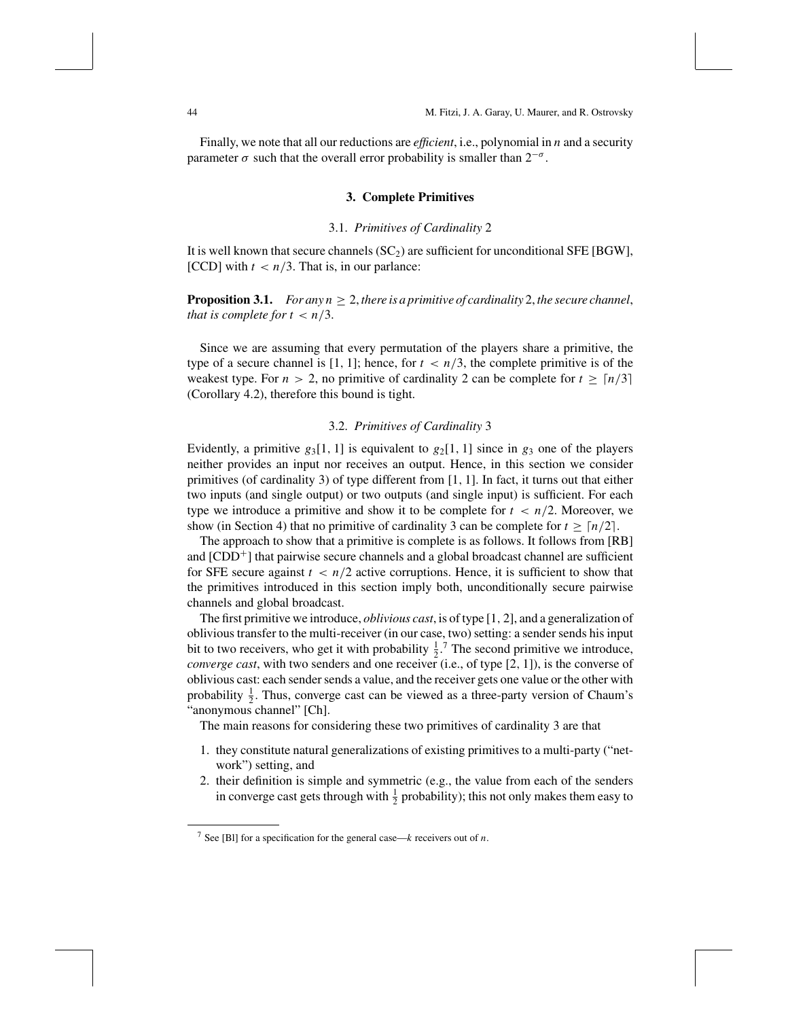Finally, we note that all our reductions are *efficient*, i.e., polynomial in *n* and a security parameter  $\sigma$  such that the overall error probability is smaller than  $2^{-\sigma}$ .

#### **3. Complete Primitives**

#### 3.1. *Primitives of Cardinality* 2

It is well known that secure channels  $(SC_2)$  are sufficient for unconditional SFE [BGW], [CCD] with  $t < n/3$ . That is, in our parlance:

**Proposition 3.1.** *For any*  $n \geq 2$ *, there is a primitive of cardinality 2, the secure channel, that is complete for*  $t < n/3$ *.* 

Since we are assuming that every permutation of the players share a primitive, the type of a secure channel is [1, 1]; hence, for  $t < n/3$ , the complete primitive is of the weakest type. For  $n > 2$ , no primitive of cardinality 2 can be complete for  $t \geq \lceil n/3 \rceil$ (Corollary 4.2), therefore this bound is tight.

### 3.2. *Primitives of Cardinality* 3

Evidently, a primitive  $g_3[1, 1]$  is equivalent to  $g_2[1, 1]$  since in  $g_3$  one of the players neither provides an input nor receives an output. Hence, in this section we consider primitives (of cardinality 3) of type different from [1, 1]. In fact, it turns out that either two inputs (and single output) or two outputs (and single input) is sufficient. For each type we introduce a primitive and show it to be complete for  $t < n/2$ . Moreover, we show (in Section 4) that no primitive of cardinality 3 can be complete for  $t > \lfloor n/2 \rfloor$ .

The approach to show that a primitive is complete is as follows. It follows from [RB] and  $[CDD<sup>+</sup>]$  that pairwise secure channels and a global broadcast channel are sufficient for SFE secure against  $t < n/2$  active corruptions. Hence, it is sufficient to show that the primitives introduced in this section imply both, unconditionally secure pairwise channels and global broadcast.

The first primitive we introduce, *oblivious cast*, is of type [1, 2], and a generalization of oblivious transfer to the multi-receiver (in our case, two) setting: a sender sends his input bit to two receivers, who get it with probability  $\frac{1}{2}$ .<sup>7</sup> The second primitive we introduce, *converge cast*, with two senders and one receiver (i.e., of type [2, 1]), is the converse of oblivious cast: each sender sends a value, and the receiver gets one value or the other with probability  $\frac{1}{2}$ . Thus, converge cast can be viewed as a three-party version of Chaum's "anonymous channel" [Ch].

The main reasons for considering these two primitives of cardinality 3 are that

- 1. they constitute natural generalizations of existing primitives to a multi-party ("network") setting, and
- 2. their definition is simple and symmetric (e.g., the value from each of the senders in converge cast gets through with  $\frac{1}{2}$  probability); this not only makes them easy to

<sup>7</sup> See [Bl] for a specification for the general case—*k* receivers out of *n*.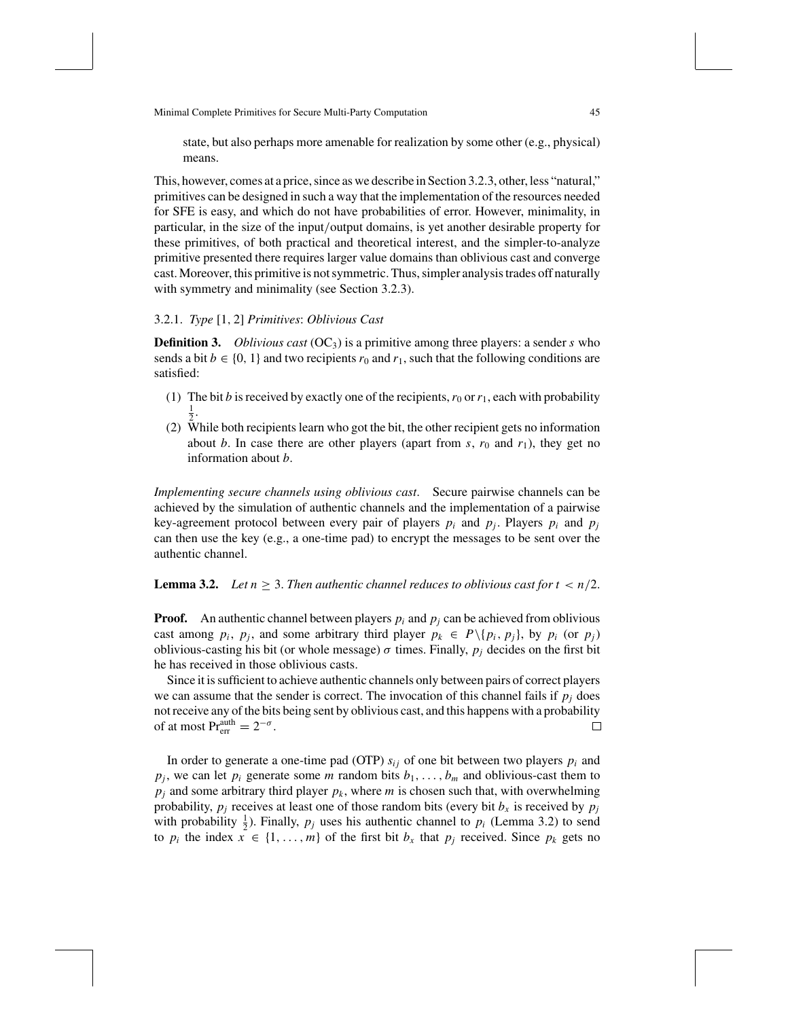state, but also perhaps more amenable for realization by some other (e.g., physical) means.

This, however, comes at a price, since as we describe in Section 3.2.3, other, less "natural," primitives can be designed in such a way that the implementation of the resources needed for SFE is easy, and which do not have probabilities of error. However, minimality, in particular, in the size of the input/output domains, is yet another desirable property for these primitives, of both practical and theoretical interest, and the simpler-to-analyze primitive presented there requires larger value domains than oblivious cast and converge cast. Moreover, this primitive is not symmetric. Thus, simpler analysis trades off naturally with symmetry and minimality (see Section 3.2.3).

### 3.2.1. *Type* [1, 2] *Primitives*: *Oblivious Cast*

**Definition 3.** *Oblivious cast* (OC<sub>3</sub>) is a primitive among three players: a sender *s* who sends a bit  $b \in \{0, 1\}$  and two recipients  $r_0$  and  $r_1$ , such that the following conditions are satisfied:

- (1) The bit *b* is received by exactly one of the recipients,  $r_0$  or  $r_1$ , each with probability 1  $\frac{1}{2}$ .
- (2) While both recipients learn who got the bit, the other recipient gets no information about *b*. In case there are other players (apart from *s*,  $r_0$  and  $r_1$ ), they get no information about *b*.

*Implementing secure channels using oblivious cast*. Secure pairwise channels can be achieved by the simulation of authentic channels and the implementation of a pairwise key-agreement protocol between every pair of players  $p_i$  and  $p_j$ . Players  $p_i$  and  $p_j$ can then use the key (e.g., a one-time pad) to encrypt the messages to be sent over the authentic channel.

**Lemma 3.2.** Let  $n \geq 3$ . Then authentic channel reduces to oblivious cast for  $t < n/2$ .

**Proof.** An authentic channel between players  $p_i$  and  $p_j$  can be achieved from oblivious cast among  $p_i$ ,  $p_j$ , and some arbitrary third player  $p_k \in P\{p_i, p_j\}$ , by  $p_i$  (or  $p_j$ ) oblivious-casting his bit (or whole message)  $\sigma$  times. Finally,  $p_i$  decides on the first bit he has received in those oblivious casts.

Since it is sufficient to achieve authentic channels only between pairs of correct players we can assume that the sender is correct. The invocation of this channel fails if  $p_i$  does not receive any of the bits being sent by oblivious cast, and this happens with a probability of at most  $Pr_{err}^{auth} = 2^{-\sigma}$ .  $\Box$ 

In order to generate a one-time pad (OTP)  $s_{ij}$  of one bit between two players  $p_i$  and  $p_i$ , we can let  $p_i$  generate some *m* random bits  $b_1, \ldots, b_m$  and oblivious-cast them to  $p_j$  and some arbitrary third player  $p_k$ , where *m* is chosen such that, with overwhelming probability,  $p_j$  receives at least one of those random bits (every bit  $b_x$  is received by  $p_j$ with probability  $\frac{1}{2}$ ). Finally,  $p_j$  uses his authentic channel to  $p_i$  (Lemma 3.2) to send to  $p_i$  the index  $x \in \{1, ..., m\}$  of the first bit  $b_x$  that  $p_j$  received. Since  $p_k$  gets no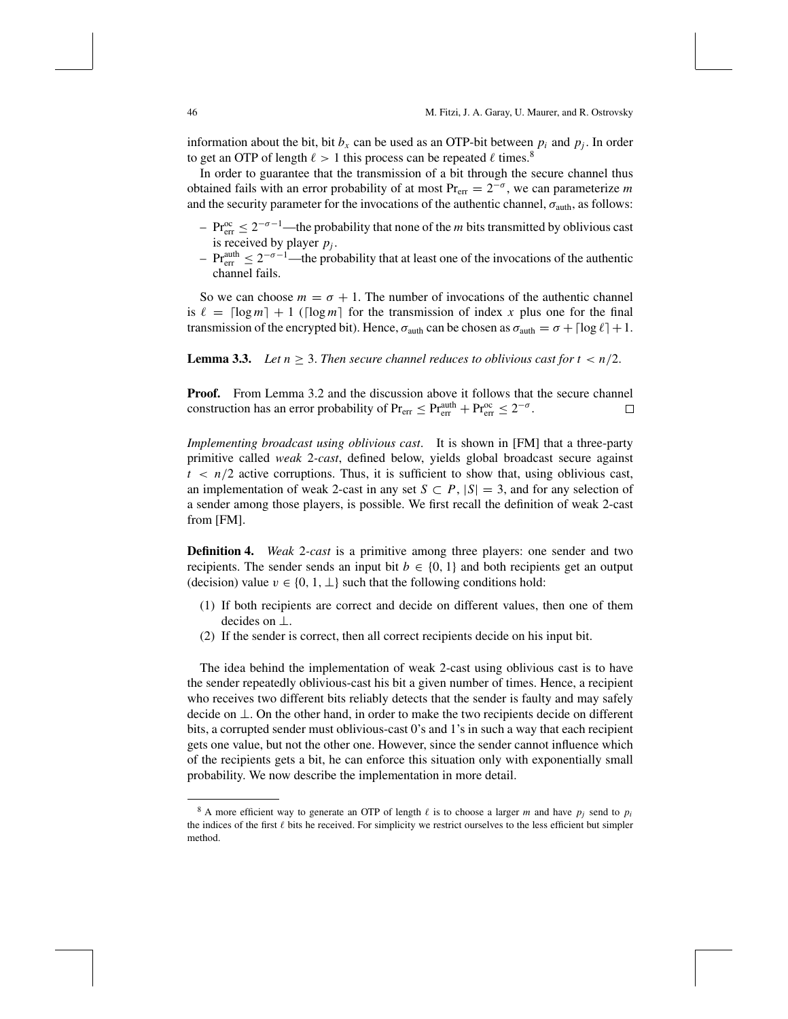information about the bit, bit  $b_x$  can be used as an OTP-bit between  $p_i$  and  $p_j$ . In order to get an OTP of length  $\ell > 1$  this process can be repeated  $\ell$  times.<sup>8</sup>

In order to guarantee that the transmission of a bit through the secure channel thus obtained fails with an error probability of at most  $Pr_{err} = 2^{-\sigma}$ , we can parameterize *m* and the security parameter for the invocations of the authentic channel,  $\sigma_{\rm auth}$ , as follows:

- $Pr_{\text{err}}^{\text{oc}} \leq 2^{-\sigma-1}$ —the probability that none of the *m* bits transmitted by oblivious cast is received by player *pj* .
- $Pr_{\text{err}}^{\text{auth}} \leq 2^{-\sigma-1}$ —the probability that at least one of the invocations of the authentic channel fails.

So we can choose  $m = \sigma + 1$ . The number of invocations of the authentic channel is  $\ell = \lceil \log m \rceil + 1$  ( $\lceil \log m \rceil$  for the transmission of index x plus one for the final transmission of the encrypted bit). Hence,  $\sigma_{\text{auth}}$  can be chosen as  $\sigma_{\text{auth}} = \sigma + \lceil \log \ell \rceil + 1$ .

**Lemma 3.3.** *Let*  $n \geq 3$ *. Then secure channel reduces to oblivious cast for*  $t < n/2$ *.* 

**Proof.** From Lemma 3.2 and the discussion above it follows that the secure channel construction has an error probability of  $Pr_{err} \le Pr_{err}^{auth} + Pr_{err}^{oc} \le 2^{-\sigma}$ .  $\Box$ 

*Implementing broadcast using oblivious cast*. It is shown in [FM] that a three-party primitive called *weak* 2*-cast*, defined below, yields global broadcast secure against  $t < n/2$  active corruptions. Thus, it is sufficient to show that, using oblivious cast, an implementation of weak 2-cast in any set  $S \subset P$ ,  $|S| = 3$ , and for any selection of a sender among those players, is possible. We first recall the definition of weak 2-cast from [FM].

**Definition 4.** *Weak* 2*-cast* is a primitive among three players: one sender and two recipients. The sender sends an input bit  $b \in \{0, 1\}$  and both recipients get an output (decision) value  $v \in \{0, 1, \perp\}$  such that the following conditions hold:

- (1) If both recipients are correct and decide on different values, then one of them decides on ⊥.
- (2) If the sender is correct, then all correct recipients decide on his input bit.

The idea behind the implementation of weak 2-cast using oblivious cast is to have the sender repeatedly oblivious-cast his bit a given number of times. Hence, a recipient who receives two different bits reliably detects that the sender is faulty and may safely decide on ⊥. On the other hand, in order to make the two recipients decide on different bits, a corrupted sender must oblivious-cast 0's and 1's in such a way that each recipient gets one value, but not the other one. However, since the sender cannot influence which of the recipients gets a bit, he can enforce this situation only with exponentially small probability. We now describe the implementation in more detail.

<sup>&</sup>lt;sup>8</sup> A more efficient way to generate an OTP of length  $\ell$  is to choose a larger *m* and have  $p_i$  send to  $p_i$ the indices of the first  $\ell$  bits he received. For simplicity we restrict ourselves to the less efficient but simpler method.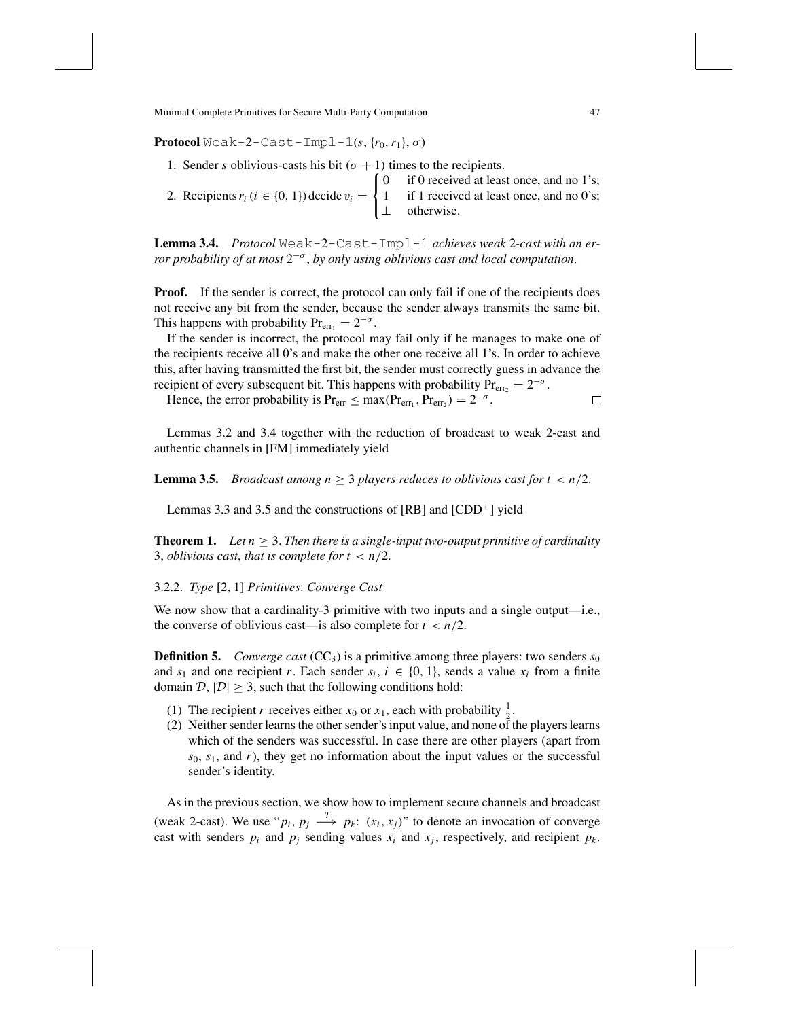**Protocol** Weak-2-Cast-Impl-1( $s$ ,  $\{r_0, r_1\}$ ,  $\sigma$ )

- 1. Sender *s* oblivious-casts his bit  $(\sigma + 1)$  times to the recipients.
- 2. Recipients  $r_i$  ( $i \in \{0, 1\}$ ) decide  $v_i =$  $\sqrt{ }$ Į  $\mathbf{I}$ 0 if 0 received at least once, and no 1's; 1 if 1 received at least once, and no 0's; ⊥ otherwise.

**Lemma 3.4.** *Protocol* Weak-2-Cast-Impl-1 *achieves weak* 2*-cast with an error probability of at most* 2−<sup>σ</sup> , *by only using oblivious cast and local computation*.

**Proof.** If the sender is correct, the protocol can only fail if one of the recipients does not receive any bit from the sender, because the sender always transmits the same bit. This happens with probability  $Pr_{err_1} = 2^{-\sigma}$ .

If the sender is incorrect, the protocol may fail only if he manages to make one of the recipients receive all 0's and make the other one receive all 1's. In order to achieve this, after having transmitted the first bit, the sender must correctly guess in advance the recipient of every subsequent bit. This happens with probability  $Pr_{err_2} = 2^{-\sigma}$ .

Hence, the error probability is  $Pr_{err} \le \max(Pr_{err_1}, Pr_{err_2}) = 2^{-\sigma}$ .  $\Box$ 

Lemmas 3.2 and 3.4 together with the reduction of broadcast to weak 2-cast and authentic channels in [FM] immediately yield

**Lemma 3.5.** *Broadcast among*  $n \geq 3$  *players reduces to oblivious cast for*  $t < n/2$ .

Lemmas 3.3 and 3.5 and the constructions of  $[RB]$  and  $[CDD<sup>+</sup>]$  yield

**Theorem 1.** Let  $n \geq 3$ . Then there is a single-input two-output primitive of cardinality 3, *oblivious cast, that is complete for*  $t < n/2$ *.* 

#### 3.2.2. *Type* [2, 1] *Primitives*: *Converge Cast*

We now show that a cardinality-3 primitive with two inputs and a single output—i.e., the converse of oblivious cast—is also complete for  $t < n/2$ .

**Definition 5.** *Converge cast* (CC<sub>3</sub>) is a primitive among three players: two senders  $s_0$ and  $s_1$  and one recipient *r*. Each sender  $s_i$ ,  $i \in \{0, 1\}$ , sends a value  $x_i$  from a finite domain  $\mathcal{D}, |\mathcal{D}| \geq 3$ , such that the following conditions hold:

- (1) The recipient *r* receives either  $x_0$  or  $x_1$ , each with probability  $\frac{1}{2}$ .
- (2) Neither sender learns the other sender's input value, and none of the players learns which of the senders was successful. In case there are other players (apart from  $s_0$ ,  $s_1$ , and *r*), they get no information about the input values or the successful sender's identity.

As in the previous section, we show how to implement secure channels and broadcast (weak 2-cast). We use " $p_i$ ,  $p_j \stackrel{?}{\longrightarrow} p_k$ :  $(x_i, x_j)$ " to denote an invocation of converge cast with senders  $p_i$  and  $p_j$  sending values  $x_i$  and  $x_j$ , respectively, and recipient  $p_k$ .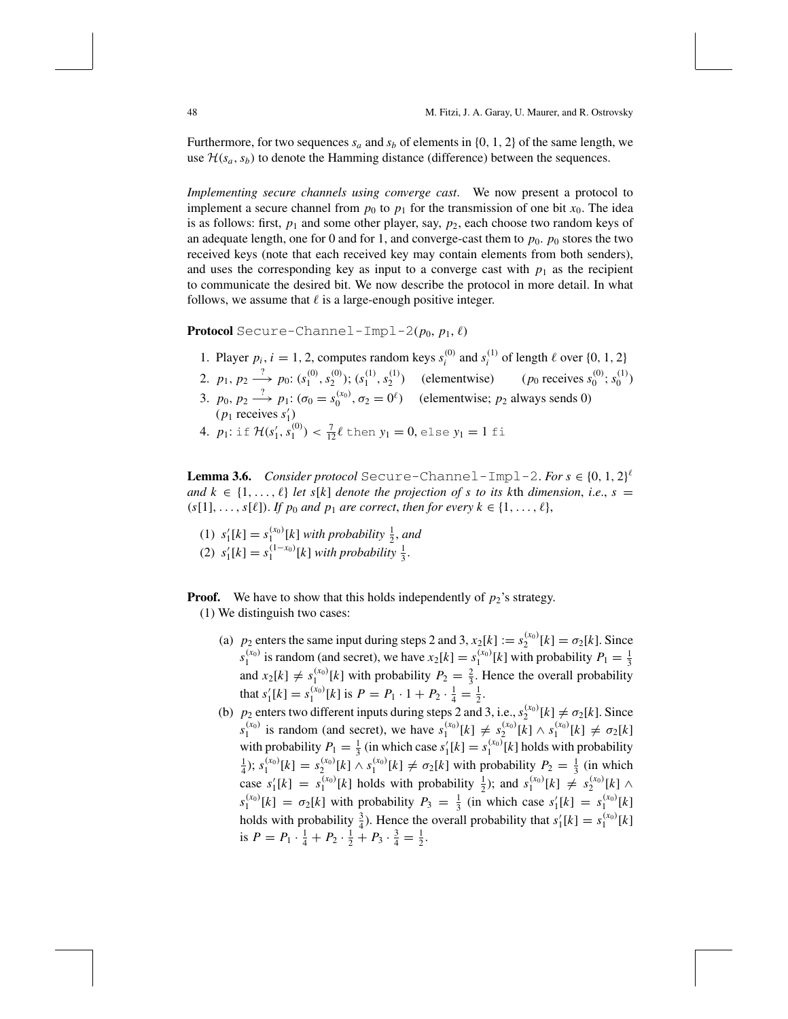Furthermore, for two sequences  $s_a$  and  $s_b$  of elements in  $\{0, 1, 2\}$  of the same length, we use  $\mathcal{H}(s_a, s_b)$  to denote the Hamming distance (difference) between the sequences.

*Implementing secure channels using converge cast*. We now present a protocol to implement a secure channel from  $p_0$  to  $p_1$  for the transmission of one bit  $x_0$ . The idea is as follows: first,  $p_1$  and some other player, say,  $p_2$ , each choose two random keys of an adequate length, one for 0 and for 1, and converge-cast them to  $p_0$ .  $p_0$  stores the two received keys (note that each received key may contain elements from both senders), and uses the corresponding key as input to a converge cast with  $p_1$  as the recipient to communicate the desired bit. We now describe the protocol in more detail. In what follows, we assume that  $\ell$  is a large-enough positive integer.

**Protocol** Secure-Channel-Impl-2( $p_0$ ,  $p_1$ ,  $\ell$ )

- 1. Player  $p_i$ ,  $i = 1, 2$ , computes random keys  $s_i^{(0)}$  and  $s_i^{(1)}$  of length  $\ell$  over  $\{0, 1, 2\}$
- 2.  $p_1, p_2 \stackrel{?}{\longrightarrow} p_0: (s_1^{(0)}, s_2^{(0)})$ ;  $(s_1^{(1)}, s_2^{(1)})$  (elementwise)  $(p_0 \text{ receives } s_0^{(0)}; s_0^{(1)})$
- 3.  $p_0, p_2 \stackrel{?}{\longrightarrow} p_1: (\sigma_0 = s_0^{(x_0)}, \sigma_2 = 0^{\ell})$  (elementwise;  $p_2$  always sends 0)  $(p_1$  receives  $s'_1$ )
- 4.  $p_1$ : if  $\mathcal{H}(s'_1, s_1^{(0)}) < \frac{7}{12} \ell$  then  $y_1 = 0$ , else  $y_1 = 1$  fi

**Lemma 3.6.** *Consider protocol* Secure-Channel-Impl-2. *For s*  $\in$  {0, 1, 2}<sup> $\ell$ </sup> *and*  $k \in \{1, \ldots, \ell\}$  *let*  $s[k]$  *denote the projection of s to its kth dimension, i.e., s*  $(s[1], \ldots, s[\ell])$ . *If p<sub>0</sub> and p<sub>1</sub> are correct, then for every*  $k \in \{1, \ldots, \ell\}$ ,

(1)  $s'_1[k] = s_1^{(x_0)}[k]$  *with probability*  $\frac{1}{2}$ *, and* (2)  $s'_1[k] = s_1^{(1-x_0)}[k]$  *with probability*  $\frac{1}{3}$ .

**Proof.** We have to show that this holds independently of  $p_2$ 's strategy.

(1) We distinguish two cases:

- (a)  $p_2$  enters the same input during steps 2 and 3,  $x_2[k] := s_2^{(x_0)}[k] = \sigma_2[k]$ . Since  $s_1^{(x_0)}$  is random (and secret), we have  $x_2[k] = s_1^{(x_0)}[k]$  with probability  $P_1 = \frac{1}{3}$ and  $x_2[k] \neq s_1^{(x_0)}[k]$  with probability  $P_2 = \frac{2}{3}$ . Hence the overall probability that  $s'_1[k] = s_1^{(x_0)}[k]$  is  $P = P_1 \cdot 1 + P_2 \cdot \frac{1}{4} = \frac{1}{2}$ .
- (b)  $p_2$  enters two different inputs during steps 2 and 3, i.e.,  $s_2^{(x_0)}[k] \neq \sigma_2[k]$ . Since  $s_1^{(x_0)}$  is random (and secret), we have  $s_1^{(x_0)}[k] \neq s_2^{(x_0)}[k] \wedge s_1^{(x_0)}[k] \neq \sigma_2[k]$ with probability  $P_1 = \frac{1}{3}$  (in which case  $s'_1[k] = s_1^{(x_0)}[k]$  holds with probability  $\frac{1}{4}$ ;  $s_1^{(x_0)}[k] = s_2^{(x_0)}[k] \wedge s_1^{(x_0)}[k] \neq \sigma_2[k]$  with probability  $P_2 = \frac{1}{3}$  (in which case  $s'_1[k] = s_1^{(x_0)}[k]$  holds with probability  $\frac{1}{2}$ ; and  $s_1^{(x_0)}[k] \neq s_2^{(x_0)}[k] \wedge$  $s_1^{(x_0)}[k] = \sigma_2[k]$  with probability  $P_3 = \frac{1}{3}$  (in which case  $s'_1[k] = s_1^{(x_0)}[k]$ holds with probability  $\frac{3}{4}$ ). Hence the overall probability that  $s'_1[k] = s_1^{(x_0)}[k]$ is  $P = P_1 \cdot \frac{1}{4} + P_2 \cdot \frac{1}{2} + P_3 \cdot \frac{3}{4} = \frac{1}{2}$ .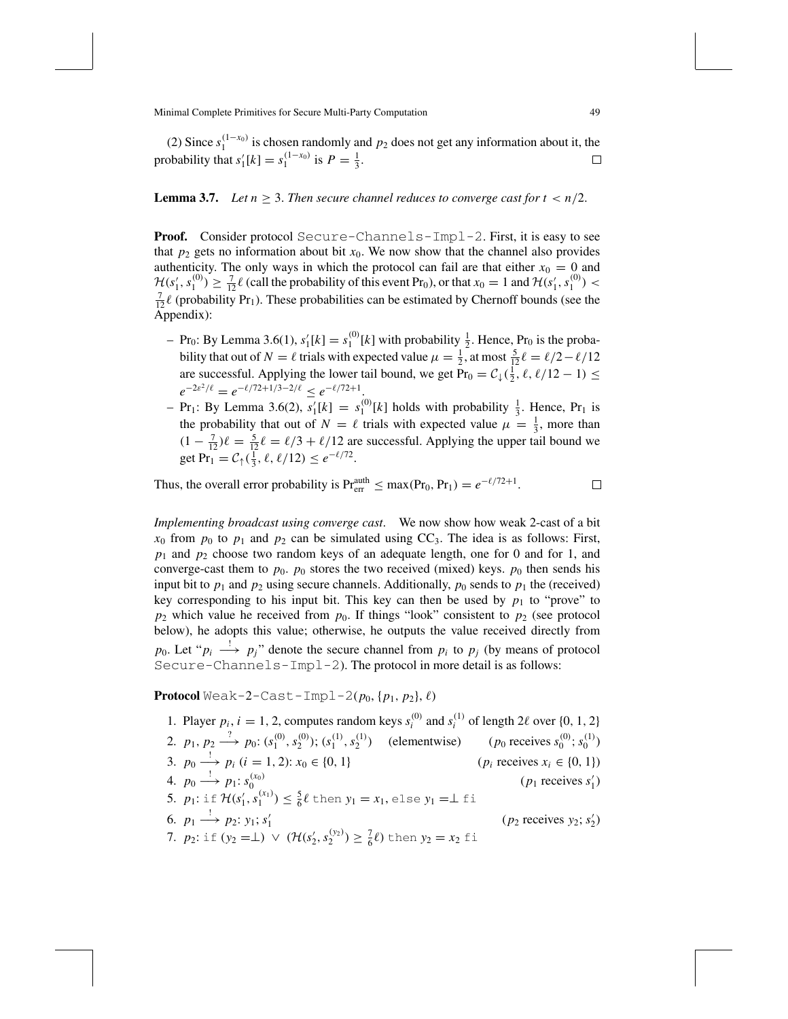(2) Since  $s_1^{(1-x_0)}$  is chosen randomly and  $p_2$  does not get any information about it, the probability that  $s'_1[k] = s_1^{(1-x_0)}$  is  $P = \frac{1}{3}$ .  $\Box$ 

### **Lemma 3.7.** *Let*  $n \geq 3$ *. Then secure channel reduces to converge cast for*  $t < n/2$ *.*

**Proof.** Consider protocol Secure-Channels-Impl-2. First, it is easy to see that  $p_2$  gets no information about bit  $x_0$ . We now show that the channel also provides authenticity. The only ways in which the protocol can fail are that either  $x_0 = 0$  and  $H(s'_1, s_1^{(0)}) \ge \frac{7}{12} \ell$  (call the probability of this event Pr<sub>0</sub>), or that  $x_0 = 1$  and  $H(s'_1, s_1^{(0)})$  <  $\frac{7}{12}$ l (probability Pr<sub>1</sub>). These probabilities can be estimated by Chernoff bounds (see the Appendix):

- $-$  Pr<sub>0</sub>: By Lemma 3.6(1),  $s'_1[k] = s_1^{(0)}[k]$  with probability  $\frac{1}{2}$ . Hence, Pr<sub>0</sub> is the probability that out of *N* =  $\ell$  trials with expected value  $\mu = \frac{1}{2}$ , at most  $\frac{5}{12}\ell = \ell/2 - \ell/12$ are successful. Applying the lower tail bound, we get Pr<sub>0</sub> =  $C_{\downarrow}(\frac{1}{2}, \ell, \ell/12 - 1) \le$  $e^{-2\varepsilon^2/\ell} = e^{-\ell/72 + 1/3 - 2/\ell} < e^{-\ell/72 + 1}$
- $-$  Pr<sub>1</sub>: By Lemma 3.6(2),  $s'_1[k] = s_1^{(0)}[k]$  holds with probability  $\frac{1}{3}$ . Hence, Pr<sub>1</sub> is the probability that out of  $N = \ell$  trials with expected value  $\mu = \frac{1}{3}$ , more than  $(1 - \frac{7}{12})\ell = \frac{5}{12}\ell = \ell/3 + \ell/12$  are successful. Applying the upper tail bound we get Pr<sub>1</sub> =  $C_1(\frac{1}{3}, \ell, \ell/12) \leq e^{-\ell/72}$ .

Thus, the overall error probability is  $Pr_{err}^{auth} \le max(Pr_0, Pr_1) = e^{-\ell/72+1}$ . 口

*Implementing broadcast using converge cast*. We now show how weak 2-cast of a bit  $x_0$  from  $p_0$  to  $p_1$  and  $p_2$  can be simulated using CC<sub>3</sub>. The idea is as follows: First, *p*<sup>1</sup> and *p*<sup>2</sup> choose two random keys of an adequate length, one for 0 and for 1, and converge-cast them to  $p_0$ .  $p_0$  stores the two received (mixed) keys.  $p_0$  then sends his input bit to  $p_1$  and  $p_2$  using secure channels. Additionally,  $p_0$  sends to  $p_1$  the (received) key corresponding to his input bit. This key can then be used by  $p_1$  to "prove" to  $p_2$  which value he received from  $p_0$ . If things "look" consistent to  $p_2$  (see protocol below), he adopts this value; otherwise, he outputs the value received directly from *p*<sub>0</sub>. Let " $p_i \stackrel{!}{\longrightarrow} p_j$ " denote the secure channel from  $p_i$  to  $p_j$  (by means of protocol Secure-Channels-Impl-2). The protocol in more detail is as follows:

**Protocol** Weak-2-Cast-Impl-2( $p_0$ , { $p_1$ ,  $p_2$ },  $\ell$ )

- 1. Player  $p_i$ ,  $i = 1, 2$ , computes random keys  $s_i^{(0)}$  and  $s_i^{(1)}$  of length 2 $\ell$  over  $\{0, 1, 2\}$ 2.  $p_1, p_2 \stackrel{?}{\longrightarrow} p_0: (s_1^{(0)}, s_2^{(0)})$ ;  $(s_1^{(1)}, s_2^{(1)})$  (elementwise)  $(p_0 \text{ receives } s_0^{(0)}; s_0^{(1)})$ 3.  $p_0 \xrightarrow{!} p_i$  (*i* = 1, 2):  $x_0 \in \{0, 1\}$  (*p<sub>i</sub>* receives  $x_i \in \{0, 1\}$ ) 4.  $p_0 \stackrel{!}{\longrightarrow} p_1$ :  $s_0^{(x_0)}$  $(p_1$  receives  $s'_1$  $(p_1$  receives  $s'_1$ ) 5.  $p_1: \text{if } \mathcal{H}(s'_1, s_1^{(x_1)}) \leq \frac{5}{6}\ell \text{ then } y_1 = x_1, \text{else } y_1 = \perp \text{fi}$ 6.  $p_1 \xrightarrow{!} p_2$ :  $y_1$ ;  $s'_1$  (*p*<sub>2</sub> receives *y*<sub>2</sub>;  $s'_2$ 6.  $p_1 \stackrel{!}{\longrightarrow} p_2$ :  $y_1$ ;  $s'_1$  $(p_2$  receives  $y_2$ ;  $s'_2$ )
- 7. *p*<sub>2</sub>: if  $(y_2 = \perp) \vee (\mathcal{H}(s'_2, s_2^{(y_2)}) \geq \frac{7}{6}\ell)$  then  $y_2 = x_2$  fi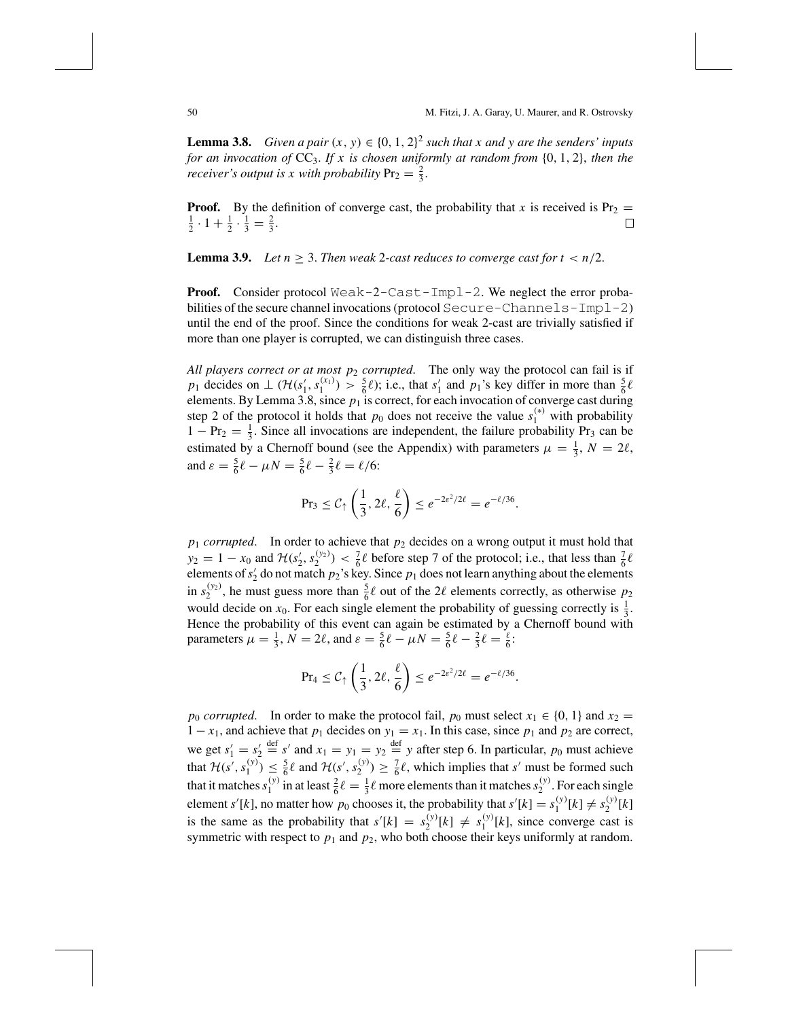**Lemma 3.8.** *Given a pair*  $(x, y) \in \{0, 1, 2\}^2$  *such that x and y are the senders' inputs for an invocation of* CC3. *If x is chosen uniformly at random from* {0, 1, 2}, *then the receiver's output is x with probability*  $Pr_2 = \frac{2}{3}$ .

**Proof.** By the definition of converge cast, the probability that *x* is received is Pr<sub>2</sub> =  $\frac{1}{2} \cdot 1 + \frac{1}{2} \cdot \frac{1}{2} = \frac{2}{3}$ .  $\frac{1}{2} \cdot 1 + \frac{1}{2} \cdot \frac{1}{3} = \frac{2}{3}.$ 

**Lemma 3.9.** *Let*  $n \geq 3$ *. Then weak* 2-cast reduces to converge cast for  $t < n/2$ .

**Proof.** Consider protocol Weak-2-Cast-Impl-2. We neglect the error probabilities of the secure channel invocations (protocol Secure-Channels-Impl-2) until the end of the proof. Since the conditions for weak 2-cast are trivially satisfied if more than one player is corrupted, we can distinguish three cases.

*All players correct or at most p*<sup>2</sup> *corrupted*. The only way the protocol can fail is if  $p_1$  decides on  $\perp$  ( $\mathcal{H}(s'_1, s_1^{(x_1)}) > \frac{5}{6}\ell$ ); i.e., that  $s'_1$  and  $p_1$ 's key differ in more than  $\frac{5}{6}\ell$ elements. By Lemma 3.8, since  $p_1$  is correct, for each invocation of converge cast during step 2 of the protocol it holds that  $p_0$  does not receive the value  $s_1^{(*)}$  with probability  $1 - Pr_2 = \frac{1}{3}$ . Since all invocations are independent, the failure probability Pr<sub>3</sub> can be estimated by a Chernoff bound (see the Appendix) with parameters  $\mu = \frac{1}{3}$ ,  $N = 2\ell$ , and  $\varepsilon = \frac{5}{6}\ell - \mu N = \frac{5}{6}\ell - \frac{2}{3}\ell = \ell/6$ :

$$
\Pr_3 \leq C_\uparrow \left( \frac{1}{3}, 2\ell, \frac{\ell}{6} \right) \leq e^{-2\varepsilon^2/2\ell} = e^{-\ell/36}.
$$

*p*<sup>1</sup> *corrupted*. In order to achieve that *p*<sup>2</sup> decides on a wrong output it must hold that  $y_2 = 1 - x_0$  and  $\mathcal{H}(s'_2, s_2^{(y_2)}) < \frac{7}{6}\ell$  before step 7 of the protocol; i.e., that less than  $\frac{7}{6}\ell$ elements of  $s'_2$  do not match  $p_2$ 's key. Since  $p_1$  does not learn anything about the elements in  $s_2^{(y_2)}$ , he must guess more than  $\frac{5}{6}\ell$  out of the 2 $\ell$  elements correctly, as otherwise  $p_2$ would decide on  $x_0$ . For each single element the probability of guessing correctly is  $\frac{1}{3}$ . Hence the probability of this event can again be estimated by a Chernoff bound with parameters  $\mu = \frac{1}{3}$ ,  $N = 2\ell$ , and  $\varepsilon = \frac{5}{6}\ell - \mu N = \frac{5}{6}\ell - \frac{2}{3}\ell = \frac{\ell}{6}$ .

$$
\Pr_4 \leq C_\uparrow \left( \frac{1}{3}, 2\ell, \frac{\ell}{6} \right) \leq e^{-2\varepsilon^2/2\ell} = e^{-\ell/36}.
$$

*p*<sub>0</sub> *corrupted*. In order to make the protocol fail, *p*<sub>0</sub> must select  $x_1 \in \{0, 1\}$  and  $x_2 =$ 1 − *x*<sub>1</sub>, and achieve that  $p_1$  decides on  $y_1 = x_1$ . In this case, since  $p_1$  and  $p_2$  are correct, we get  $s'_1 = s'_2$  $\frac{def}{=} s'$  and  $x_1 = y_1 = y_2 \stackrel{\text{def}}{=} y$  after step 6. In particular,  $p_0$  must achieve that  $\mathcal{H}(s', s_1^{(y)}) \leq \frac{5}{6}\ell$  and  $\mathcal{H}(s', s_2^{(y)}) \geq \frac{7}{6}\ell$ , which implies that *s'* must be formed such that it matches  $s_1^{(y)}$  in at least  $\frac{2}{6}\ell = \frac{1}{3}\ell$  more elements than it matches  $s_2^{(y)}$ . For each single element *s'*[*k*], no matter how *p*<sub>0</sub> chooses it, the probability that  $s'[k] = s_1^{(y)}[k] \neq s_2^{(y)}[k]$ is the same as the probability that  $s'[k] = s_2^{(y)}[k] \neq s_1^{(y)}[k]$ , since converge cast is symmetric with respect to  $p_1$  and  $p_2$ , who both choose their keys uniformly at random.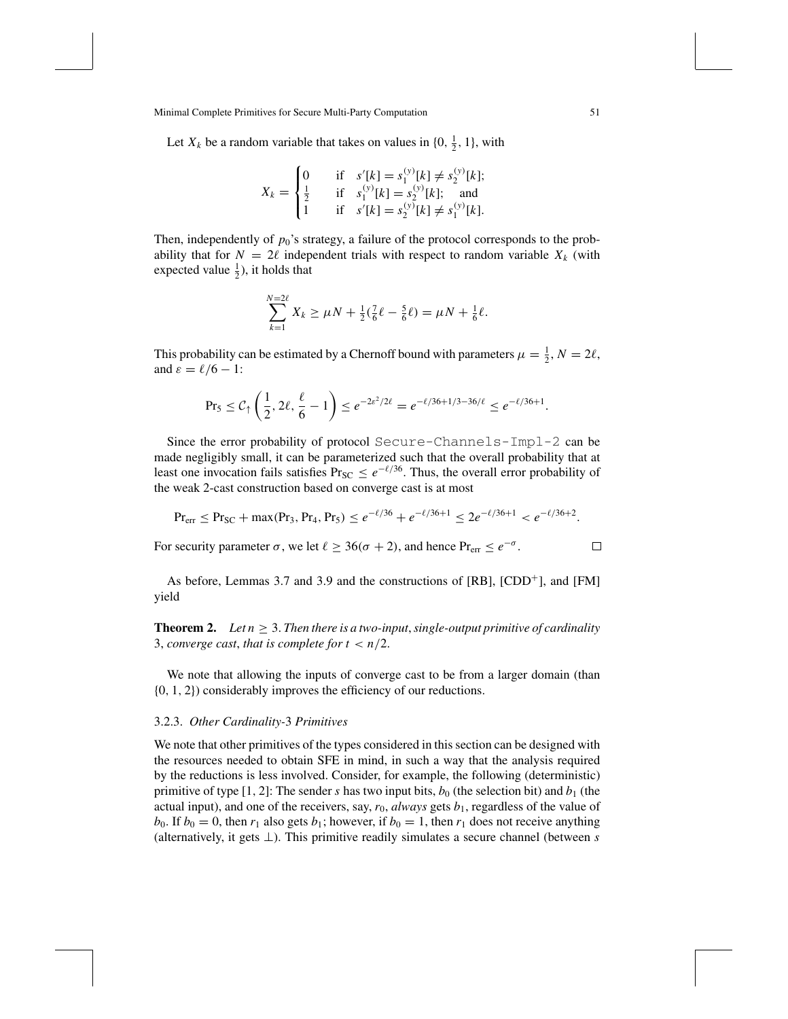Let  $X_k$  be a random variable that takes on values in  $\{0, \frac{1}{2}, 1\}$ , with

$$
X_k = \begin{cases} 0 & \text{if } s'[k] = s_1^{(y)}[k] \neq s_2^{(y)}[k]; \\ \frac{1}{2} & \text{if } s_1^{(y)}[k] = s_2^{(y)}[k]; \text{ and} \\ 1 & \text{if } s'[k] = s_2^{(y)}[k] \neq s_1^{(y)}[k]. \end{cases}
$$

Then, independently of  $p_0$ 's strategy, a failure of the protocol corresponds to the probability that for  $N = 2\ell$  independent trials with respect to random variable  $X_k$  (with expected value  $\frac{1}{2}$ ), it holds that

$$
\sum_{k=1}^{N=2\ell} X_k \ge \mu N + \frac{1}{2}(\frac{7}{6}\ell - \frac{5}{6}\ell) = \mu N + \frac{1}{6}\ell.
$$

This probability can be estimated by a Chernoff bound with parameters  $\mu = \frac{1}{2}$ ,  $N = 2\ell$ , and  $\varepsilon = \ell/6 - 1$ :

$$
\Pr_5 \leq C_\uparrow \left( \frac{1}{2}, 2\ell, \frac{\ell}{6} - 1 \right) \leq e^{-2\varepsilon^2/2\ell} = e^{-\ell/36 + 1/3 - 36/\ell} \leq e^{-\ell/36 + 1}.
$$

Since the error probability of protocol Secure-Channels-Impl-2 can be made negligibly small, it can be parameterized such that the overall probability that at least one invocation fails satisfies Pr<sub>SC</sub>  $\leq e^{-\ell/36}$ . Thus, the overall error probability of the weak 2-cast construction based on converge cast is at most

$$
Pr_{err} \le Pr_{SC} + \max(Pr_3, Pr_4, Pr_5) \le e^{-\ell/36} + e^{-\ell/36+1} \le 2e^{-\ell/36+1} < e^{-\ell/36+2}.
$$

For security parameter  $\sigma$ , we let  $\ell \geq 36(\sigma + 2)$ , and hence Pr<sub>err</sub>  $\leq e^{-\sigma}$ .

As before, Lemmas 3.7 and 3.9 and the constructions of  $[RB]$ ,  $[CDD<sup>+</sup>]$ , and  $[FM]$ yield

**Theorem 2.** *Let*  $n \geq 3$ *. Then there is a two-input, single-output primitive of cardinality* 3, *converge cast*, *that is complete for*  $t < n/2$ .

We note that allowing the inputs of converge cast to be from a larger domain (than {0, 1, 2}) considerably improves the efficiency of our reductions.

#### 3.2.3. *Other Cardinality-*3 *Primitives*

We note that other primitives of the types considered in this section can be designed with the resources needed to obtain SFE in mind, in such a way that the analysis required by the reductions is less involved. Consider, for example, the following (deterministic) primitive of type  $[1, 2]$ : The sender *s* has two input bits,  $b_0$  (the selection bit) and  $b_1$  (the actual input), and one of the receivers, say,  $r_0$ , *always* gets  $b_1$ , regardless of the value of  $b_0$ . If  $b_0 = 0$ , then  $r_1$  also gets  $b_1$ ; however, if  $b_0 = 1$ , then  $r_1$  does not receive anything (alternatively, it gets ⊥). This primitive readily simulates a secure channel (between *s*

 $\Box$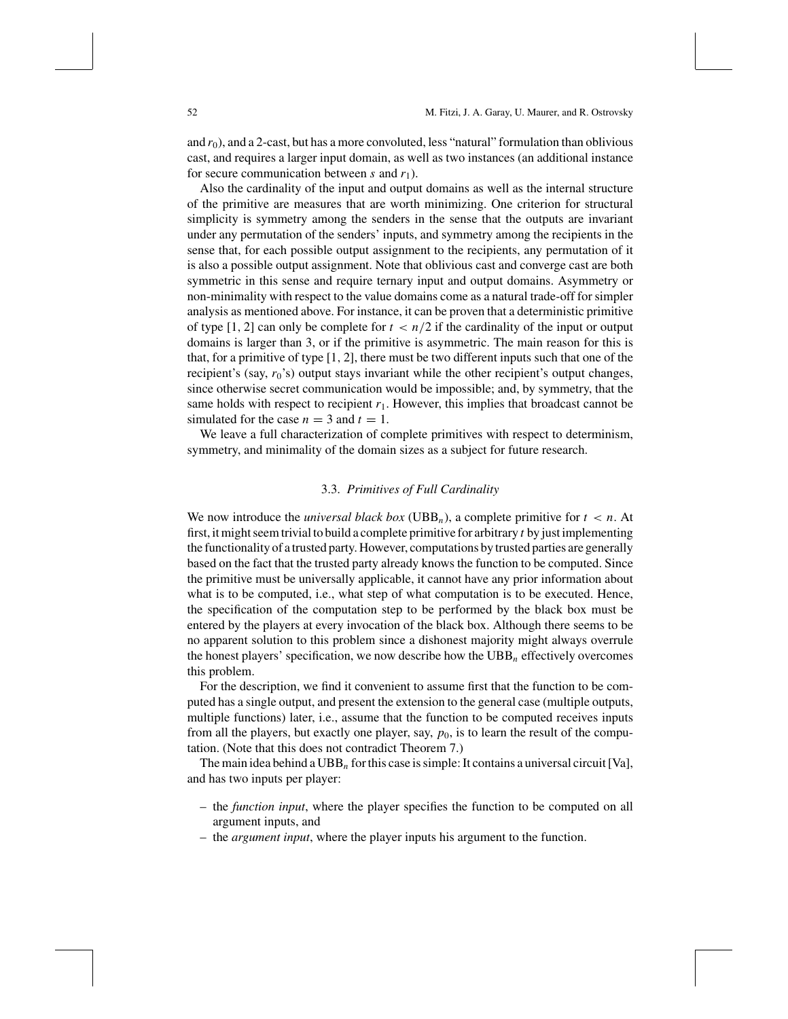and  $r_0$ ), and a 2-cast, but has a more convoluted, less "natural" formulation than oblivious cast, and requires a larger input domain, as well as two instances (an additional instance for secure communication between  $s$  and  $r_1$ ).

Also the cardinality of the input and output domains as well as the internal structure of the primitive are measures that are worth minimizing. One criterion for structural simplicity is symmetry among the senders in the sense that the outputs are invariant under any permutation of the senders' inputs, and symmetry among the recipients in the sense that, for each possible output assignment to the recipients, any permutation of it is also a possible output assignment. Note that oblivious cast and converge cast are both symmetric in this sense and require ternary input and output domains. Asymmetry or non-minimality with respect to the value domains come as a natural trade-off for simpler analysis as mentioned above. For instance, it can be proven that a deterministic primitive of type  $[1, 2]$  can only be complete for  $t < n/2$  if the cardinality of the input or output domains is larger than 3, or if the primitive is asymmetric. The main reason for this is that, for a primitive of type  $[1, 2]$ , there must be two different inputs such that one of the recipient's (say,  $r_0$ 's) output stays invariant while the other recipient's output changes, since otherwise secret communication would be impossible; and, by symmetry, that the same holds with respect to recipient  $r_1$ . However, this implies that broadcast cannot be simulated for the case  $n = 3$  and  $t = 1$ .

We leave a full characterization of complete primitives with respect to determinism, symmetry, and minimality of the domain sizes as a subject for future research.

# 3.3. *Primitives of Full Cardinality*

We now introduce the *universal black box* (UBB<sub>n</sub>), a complete primitive for  $t < n$ . At first, it might seem trivial to build a complete primitive for arbitrary *t* by just implementing the functionality of a trusted party. However, computations by trusted parties are generally based on the fact that the trusted party already knows the function to be computed. Since the primitive must be universally applicable, it cannot have any prior information about what is to be computed, i.e., what step of what computation is to be executed. Hence, the specification of the computation step to be performed by the black box must be entered by the players at every invocation of the black box. Although there seems to be no apparent solution to this problem since a dishonest majority might always overrule the honest players' specification, we now describe how the  $UBB<sub>n</sub>$  effectively overcomes this problem.

For the description, we find it convenient to assume first that the function to be computed has a single output, and present the extension to the general case (multiple outputs, multiple functions) later, i.e., assume that the function to be computed receives inputs from all the players, but exactly one player, say,  $p_0$ , is to learn the result of the computation. (Note that this does not contradict Theorem 7.)

The main idea behind a UBB*<sup>n</sup>* for this case is simple: It contains a universal circuit [Va], and has two inputs per player:

- the *function input*, where the player specifies the function to be computed on all argument inputs, and
- the *argument input*, where the player inputs his argument to the function.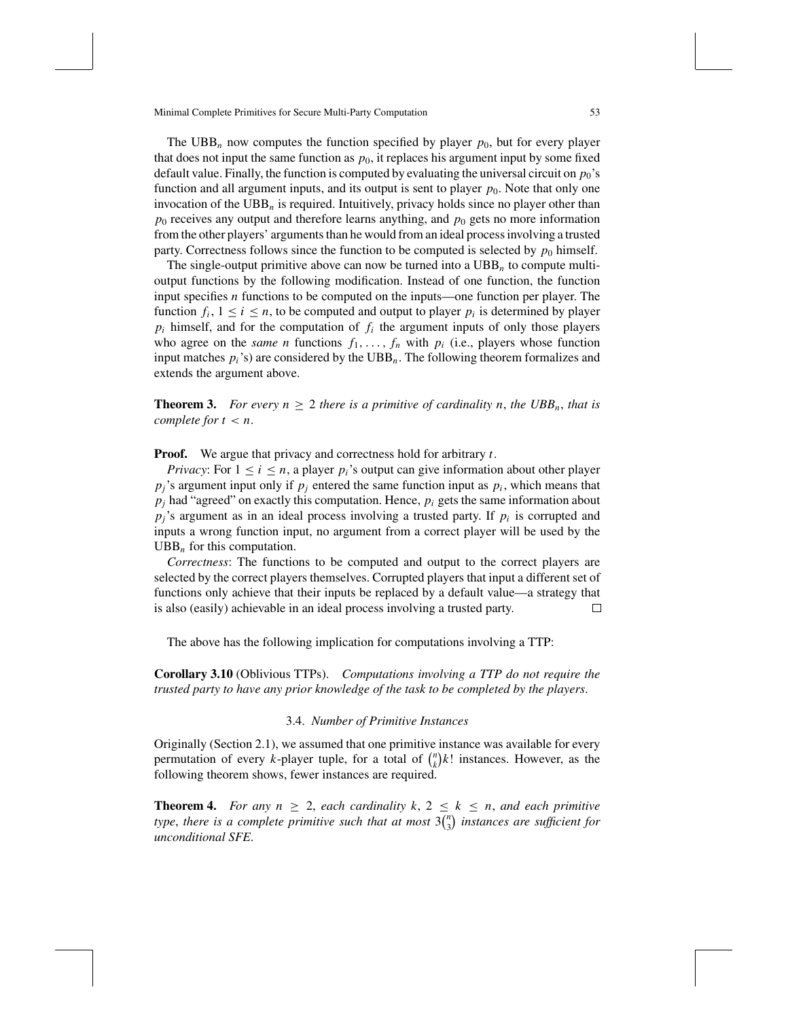The UBB<sub>n</sub> now computes the function specified by player  $p_0$ , but for every player that does not input the same function as  $p_0$ , it replaces his argument input by some fixed default value. Finally, the function is computed by evaluating the universal circuit on  $p_0$ 's function and all argument inputs, and its output is sent to player  $p_0$ . Note that only one invocation of the UBB*<sup>n</sup>* is required. Intuitively, privacy holds since no player other than *p*<sup>0</sup> receives any output and therefore learns anything, and *p*<sup>0</sup> gets no more information from the other players' arguments than he would from an ideal process involving a trusted party. Correctness follows since the function to be computed is selected by  $p_0$  himself.

The single-output primitive above can now be turned into a  $UBB<sub>n</sub>$  to compute multioutput functions by the following modification. Instead of one function, the function input specifies *n* functions to be computed on the inputs—one function per player. The function  $f_i$ ,  $1 \le i \le n$ , to be computed and output to player  $p_i$  is determined by player  $p_i$  himself, and for the computation of  $f_i$  the argument inputs of only those players who agree on the *same n* functions  $f_1, \ldots, f_n$  with  $p_i$  (i.e., players whose function input matches  $p_i$ 's) are considered by the  $UBB_n$ . The following theorem formalizes and extends the argument above.

**Theorem 3.** *For every n*  $\geq$  2 *there is a primitive of cardinality n, the UBB<sub>n</sub>, that is complete for*  $t < n$ .

**Proof.** We argue that privacy and correctness hold for arbitrary *t*.

*Privacy*: For  $1 \le i \le n$ , a player  $p_i$ 's output can give information about other player  $p_j$ 's argument input only if  $p_j$  entered the same function input as  $p_i$ , which means that  $p_i$  had "agreed" on exactly this computation. Hence,  $p_i$  gets the same information about  $p_j$ 's argument as in an ideal process involving a trusted party. If  $p_i$  is corrupted and inputs a wrong function input, no argument from a correct player will be used by the UBB*<sup>n</sup>* for this computation.

*Correctness*: The functions to be computed and output to the correct players are selected by the correct players themselves. Corrupted players that input a different set of functions only achieve that their inputs be replaced by a default value—a strategy that is also (easily) achievable in an ideal process involving a trusted party. 口

The above has the following implication for computations involving a TTP:

**Corollary 3.10** (Oblivious TTPs). *Computations involving a TTP do not require the trusted party to have any prior knowledge of the task to be completed by the players*.

#### 3.4. *Number of Primitive Instances*

Originally (Section 2.1), we assumed that one primitive instance was available for every permutation of every *k*-player tuple, for a total of  $\binom{n}{k} k!$  instances. However, as the following theorem shows, fewer instances are required.

**Theorem 4.** *For any n*  $\geq$  2, *each cardinality k*, 2  $\leq$  *k*  $\leq$  *n*, *and each primitive type, there is a complete primitive such that at most*  $3\binom{n}{3}$  *instances are sufficient for unconditional SFE*.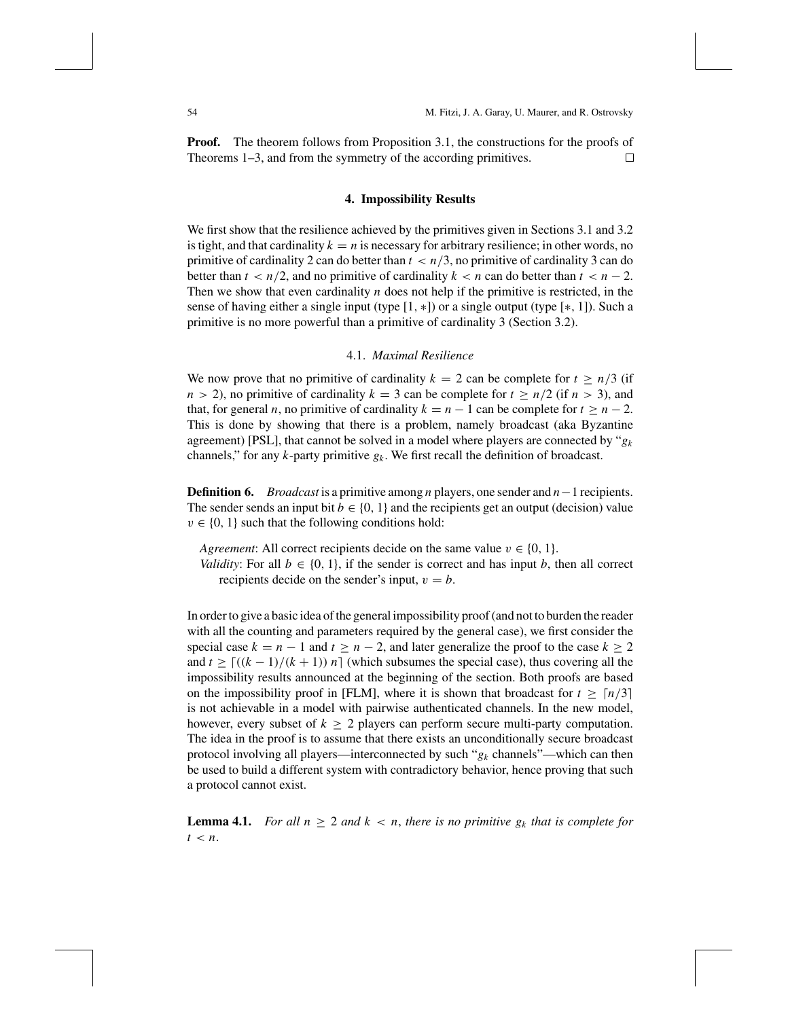**Proof.** The theorem follows from Proposition 3.1, the constructions for the proofs of Theorems 1–3, and from the symmetry of the according primitives. □

#### **4. Impossibility Results**

We first show that the resilience achieved by the primitives given in Sections 3.1 and 3.2 is tight, and that cardinality  $k = n$  is necessary for arbitrary resilience; in other words, no primitive of cardinality 2 can do better than  $t < n/3$ , no primitive of cardinality 3 can do better than  $t < n/2$ , and no primitive of cardinality  $k < n$  can do better than  $t < n - 2$ . Then we show that even cardinality *n* does not help if the primitive is restricted, in the sense of having either a single input (type  $[1, *]$ ) or a single output (type  $[*, 1]$ ). Such a primitive is no more powerful than a primitive of cardinality 3 (Section 3.2).

#### 4.1. *Maximal Resilience*

We now prove that no primitive of cardinality  $k = 2$  can be complete for  $t \ge n/3$  (if  $n > 2$ ), no primitive of cardinality  $k = 3$  can be complete for  $t \ge n/2$  (if  $n > 3$ ), and that, for general *n*, no primitive of cardinality  $k = n - 1$  can be complete for  $t \ge n - 2$ . This is done by showing that there is a problem, namely broadcast (aka Byzantine agreement) [PSL], that cannot be solved in a model where players are connected by "*gk* channels," for any  $k$ -party primitive  $g_k$ . We first recall the definition of broadcast.

**Definition 6.** *Broadcast* is a primitive among *n* players, one sender and *n*−1 recipients. The sender sends an input bit  $b \in \{0, 1\}$  and the recipients get an output (decision) value  $v \in \{0, 1\}$  such that the following conditions hold:

*Agreement*: All correct recipients decide on the same value  $v \in \{0, 1\}$ .

*Validity*: For all  $b \in \{0, 1\}$ , if the sender is correct and has input *b*, then all correct recipients decide on the sender's input,  $v = b$ .

In order to give a basic idea of the general impossibility proof (and not to burden the reader with all the counting and parameters required by the general case), we first consider the special case  $k = n - 1$  and  $t \ge n - 2$ , and later generalize the proof to the case  $k \ge 2$ and  $t \geq \lfloor ((k-1)/(k+1)) \rfloor n \rfloor$  (which subsumes the special case), thus covering all the impossibility results announced at the beginning of the section. Both proofs are based on the impossibility proof in [FLM], where it is shown that broadcast for  $t \geq \lceil n/3 \rceil$ is not achievable in a model with pairwise authenticated channels. In the new model, however, every subset of  $k \geq 2$  players can perform secure multi-party computation. The idea in the proof is to assume that there exists an unconditionally secure broadcast protocol involving all players—interconnected by such "*gk* channels"—which can then be used to build a different system with contradictory behavior, hence proving that such a protocol cannot exist.

**Lemma 4.1.** *For all*  $n \geq 2$  *and*  $k < n$ *, there is no primitive*  $g_k$  *that is complete for*  $t < n$ .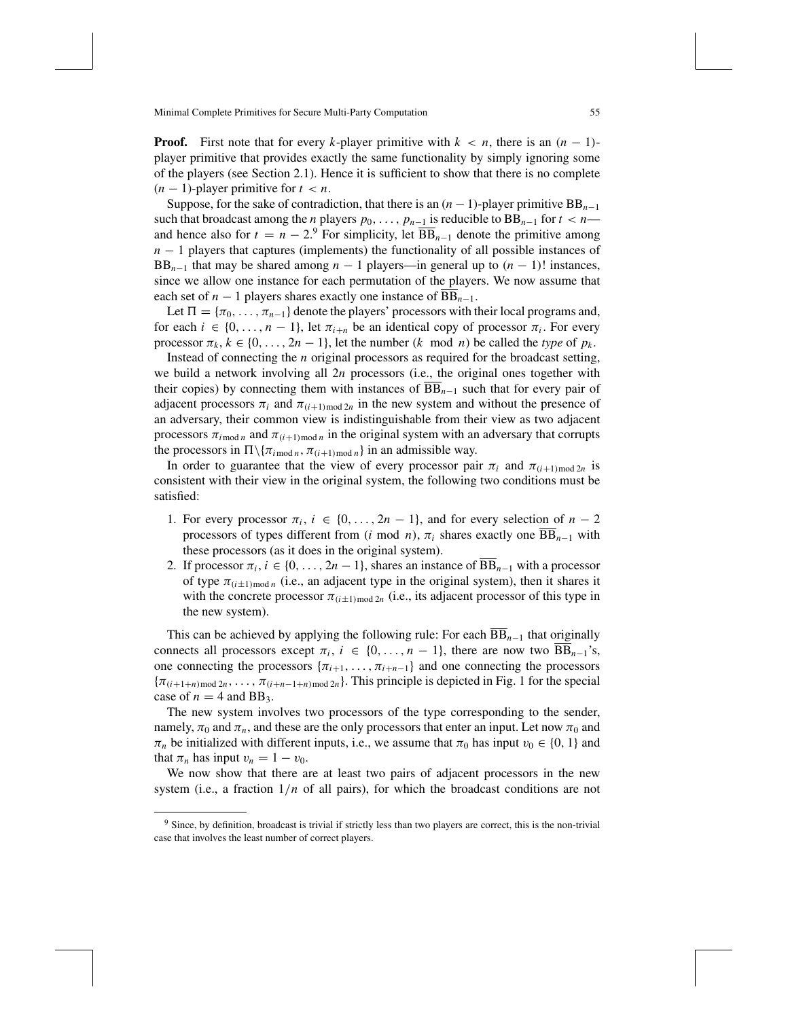**Proof.** First note that for every *k*-player primitive with  $k < n$ , there is an  $(n - 1)$ player primitive that provides exactly the same functionality by simply ignoring some of the players (see Section 2.1). Hence it is sufficient to show that there is no complete  $(n-1)$ -player primitive for  $t < n$ .

Suppose, for the sake of contradiction, that there is an  $(n - 1)$ -player primitive  $BB_{n-1}$ such that broadcast among the *n* players  $p_0, \ldots, p_{n-1}$  is reducible to  $BB_{n-1}$  for  $t < n$  and hence also for  $t = n - 2.9$  For simplicity, let  $\overline{BB}_{n-1}$  denote the primitive among *n* − 1 players that captures (implements) the functionality of all possible instances of BB<sub>n−1</sub> that may be shared among  $n - 1$  players—in general up to  $(n - 1)!$  instances, since we allow one instance for each permutation of the players. We now assume that each set of  $n - 1$  players shares exactly one instance of  $\overline{BB}_{n-1}$ .

Let  $\Pi = {\pi_0, \ldots, \pi_{n-1}}$  denote the players' processors with their local programs and, for each  $i \in \{0, \ldots, n-1\}$ , let  $\pi_{i+n}$  be an identical copy of processor  $\pi_i$ . For every processor  $\pi_k$ ,  $k \in \{0, \ldots, 2n-1\}$ , let the number  $(k \mod n)$  be called the *type* of  $p_k$ .

Instead of connecting the *n* original processors as required for the broadcast setting, we build a network involving all 2*n* processors (i.e., the original ones together with their copies) by connecting them with instances of  $\overline{BB}_{n-1}$  such that for every pair of adjacent processors  $\pi_i$  and  $\pi_{(i+1) \text{ mod } 2n}$  in the new system and without the presence of an adversary, their common view is indistinguishable from their view as two adjacent processors  $\pi_{i \mod n}$  and  $\pi_{(i+1) \mod n}$  in the original system with an adversary that corrupts the processors in  $\Pi \setminus {\{\pi_{i \mod n}, \pi_{(i+1) \mod n}\}}$  in an admissible way.

In order to guarantee that the view of every processor pair  $\pi_i$  and  $\pi_{(i+1) \text{ mod } 2n}$  is consistent with their view in the original system, the following two conditions must be satisfied:

- 1. For every processor  $\pi_i$ ,  $i \in \{0, \ldots, 2n-1\}$ , and for every selection of  $n-2$ processors of types different from (*i* mod *n*),  $\pi_i$  shares exactly one  $BB_{n-1}$  with these processors (as it does in the original system).
- 2. If processor  $\pi_i$ ,  $i \in \{0, \ldots, 2n-1\}$ , shares an instance of  $\overline{BB}_{n-1}$  with a processor of type  $\pi_{(i+1) \mod n}$  (i.e., an adjacent type in the original system), then it shares it with the concrete processor  $\pi_{(i\pm1)\text{mod }2n}$  (i.e., its adjacent processor of this type in the new system).

This can be achieved by applying the following rule: For each  $\overline{BB}_{n-1}$  that originally connects all processors except  $\pi_i$ ,  $i \in \{0, ..., n-1\}$ , there are now two  $\overline{BB}_{n-1}$ 's, one connecting the processors  $\{\pi_{i+1}, \ldots, \pi_{i+n-1}\}$  and one connecting the processors  ${\pi_{(i+1+n) \mod 2n, \ldots, \pi_{(i+n-1+n) \mod 2n}}$ . This principle is depicted in Fig. 1 for the special case of  $n = 4$  and BB<sub>3</sub>.

The new system involves two processors of the type corresponding to the sender, namely,  $\pi_0$  and  $\pi_n$ , and these are the only processors that enter an input. Let now  $\pi_0$  and  $\pi_n$  be initialized with different inputs, i.e., we assume that  $\pi_0$  has input  $v_0 \in \{0, 1\}$  and that  $\pi_n$  has input  $v_n = 1 - v_0$ .

We now show that there are at least two pairs of adjacent processors in the new system (i.e., a fraction  $1/n$  of all pairs), for which the broadcast conditions are not

<sup>&</sup>lt;sup>9</sup> Since, by definition, broadcast is trivial if strictly less than two players are correct, this is the non-trivial case that involves the least number of correct players.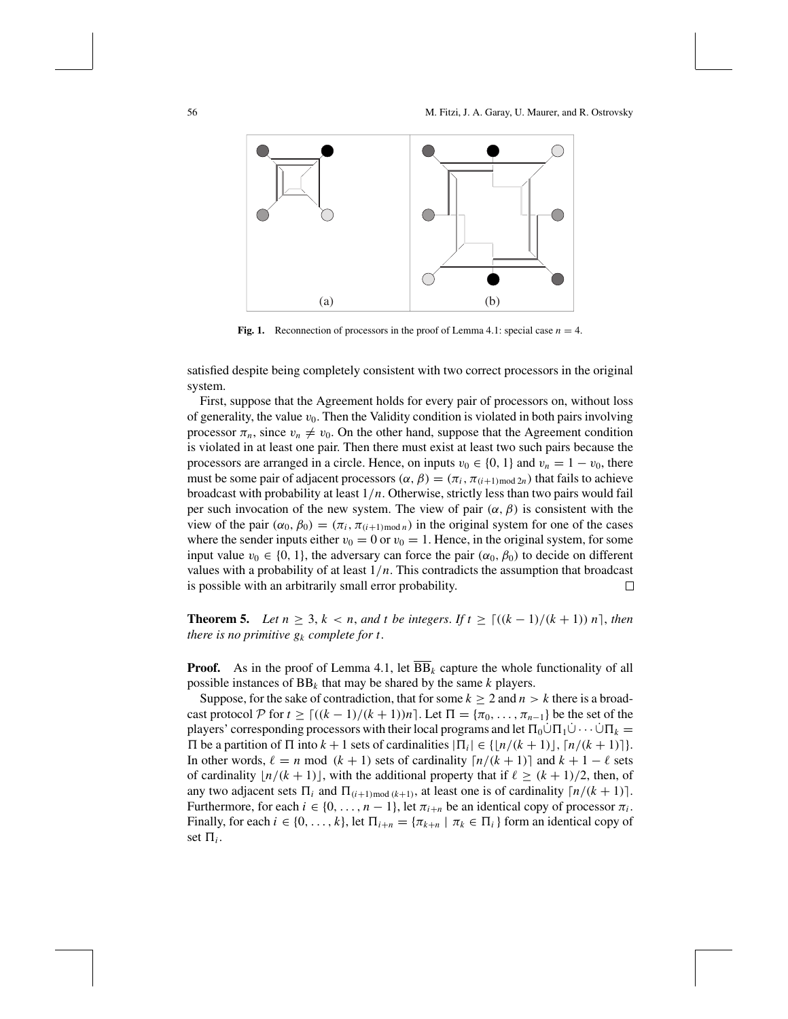

**Fig. 1.** Reconnection of processors in the proof of Lemma 4.1: special case  $n = 4$ .

satisfied despite being completely consistent with two correct processors in the original system.

First, suppose that the Agreement holds for every pair of processors on, without loss of generality, the value  $v_0$ . Then the Validity condition is violated in both pairs involving processor  $\pi_n$ , since  $v_n \neq v_0$ . On the other hand, suppose that the Agreement condition is violated in at least one pair. Then there must exist at least two such pairs because the processors are arranged in a circle. Hence, on inputs  $v_0 \in \{0, 1\}$  and  $v_n = 1 - v_0$ , there must be some pair of adjacent processors  $(\alpha, \beta) = (\pi_i, \pi_{(i+1) \text{ mod } 2n})$  that fails to achieve broadcast with probability at least 1/*n*. Otherwise, strictly less than two pairs would fail per such invocation of the new system. The view of pair  $(\alpha, \beta)$  is consistent with the view of the pair  $(\alpha_0, \beta_0) = (\pi_i, \pi_{(i+1) \text{ mod } n})$  in the original system for one of the cases where the sender inputs either  $v_0 = 0$  or  $v_0 = 1$ . Hence, in the original system, for some input value  $v_0 \in \{0, 1\}$ , the adversary can force the pair  $(\alpha_0, \beta_0)$  to decide on different values with a probability of at least 1/*n*. This contradicts the assumption that broadcast is possible with an arbitrarily small error probability.  $\Box$ 

**Theorem 5.** *Let*  $n \geq 3$ ,  $k < n$ , and t be integers. If  $t \geq \lfloor ((k-1)/(k+1)) \rfloor n \rfloor$ , then *there is no primitive gk complete for t*.

**Proof.** As in the proof of Lemma 4.1, let  $BB_k$  capture the whole functionality of all possible instances of  $BB_k$  that may be shared by the same  $k$  players.

Suppose, for the sake of contradiction, that for some  $k \ge 2$  and  $n > k$  there is a broadcast protocol P for  $t \geq \lfloor ((k-1)/(k+1))n \rfloor$ . Let  $\Pi = \{\pi_0, \ldots, \pi_{n-1}\}$  be the set of the players' corresponding processors with their local programs and let  $\Pi_0 \cup \Pi_1 \cup \cdots \cup \Pi_k =$  $\Pi$  be a partition of  $\Pi$  into  $k + 1$  sets of cardinalities  $|\Pi_i| \in \{\lfloor n/(k+1)\rfloor, \lceil n/(k+1)\rceil\}.$ In other words,  $\ell = n \mod (k + 1)$  sets of cardinality  $\lceil n/(k + 1) \rceil$  and  $k + 1 - \ell$  sets of cardinality  $\lfloor n/(k+1) \rfloor$ , with the additional property that if  $\ell \geq (k+1)/2$ , then, of any two adjacent sets  $\Pi_i$  and  $\Pi_{(i+1) \text{mod } (k+1)}$ , at least one is of cardinality  $\lceil n/(k+1) \rceil$ . Furthermore, for each  $i \in \{0, ..., n-1\}$ , let  $\pi_{i+n}$  be an identical copy of processor  $\pi_i$ . Finally, for each  $i \in \{0, ..., k\}$ , let  $\Pi_{i+n} = \{\pi_{k+n} \mid \pi_k \in \Pi_i\}$  form an identical copy of set  $\Pi_i$ .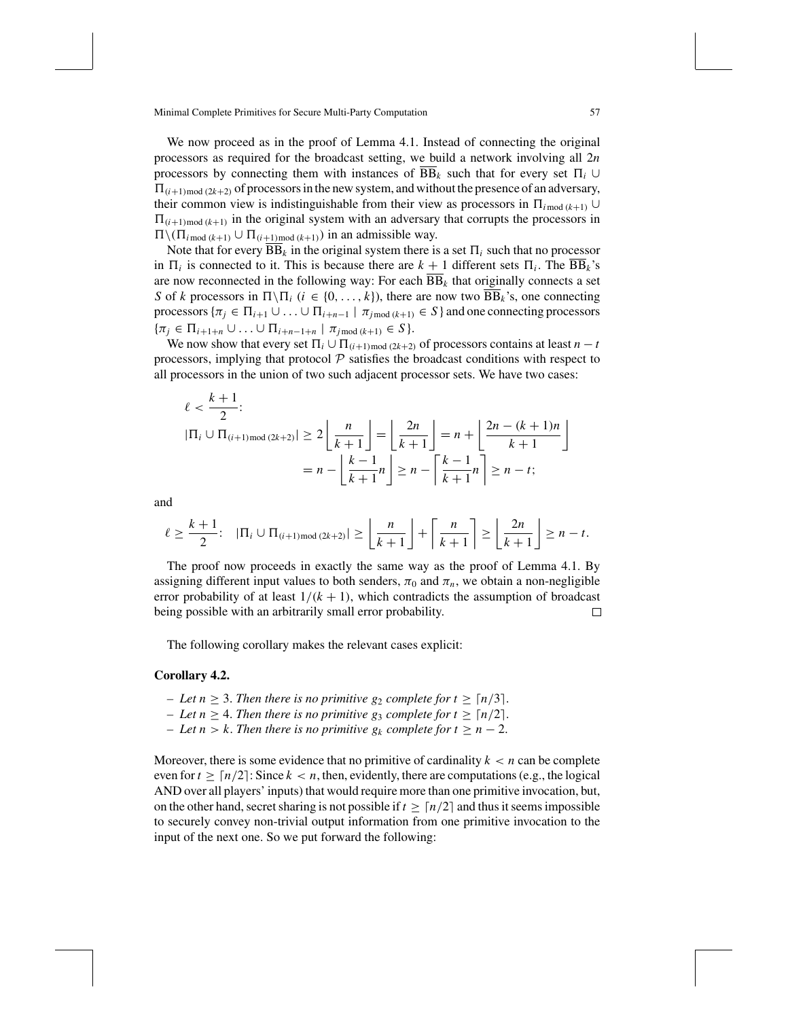We now proceed as in the proof of Lemma 4.1. Instead of connecting the original processors as required for the broadcast setting, we build a network involving all 2*n* processors by connecting them with instances of  $BB_k$  such that for every set  $\Pi_i$  $\Pi_{(i+1) \text{ mod } (2k+2)}$  of processors in the new system, and without the presence of an adversary, their common view is indistinguishable from their view as processors in  $\Pi_{i \mod (k+1)}$  ∪  $\Pi_{(i+1) \text{ mod } (k+1)}$  in the original system with an adversary that corrupts the processors in  $\Pi \setminus (\Pi_{i \bmod (k+1)} \cup \Pi_{(i+1) \bmod (k+1)})$  in an admissible way.

Note that for every  $\overline{BB}_k$  in the original system there is a set  $\Pi_i$  such that no processor in  $\Pi_i$  is connected to it. This is because there are  $k + 1$  different sets  $\Pi_i$ . The  $\overline{BB}_k$ 's are now reconnected in the following way: For each  $BB_k$  that originally connects a set *S* of *k* processors in  $\Pi \setminus \Pi_i$  (*i* ∈ {0, ..., *k*}), there are now two  $\overline{BB}_k$ 's, one connecting processors  $\{\pi_j \in \Pi_{i+1} \cup \ldots \cup \Pi_{i+n-1} \mid \pi_{j \mod (k+1)} \in S\}$  and one connecting processors  $\{\pi_j \in \Pi_{i+1+n} \cup ... \cup \Pi_{i+n-1+n} \mid \pi_{j \mod (k+1)} \in S\}.$ 

We now show that every set  $\Pi_i \cup \Pi_{(i+1) \text{ mod } (2k+2)}$  of processors contains at least  $n - t$ processors, implying that protocol  $P$  satisfies the broadcast conditions with respect to all processors in the union of two such adjacent processor sets. We have two cases:

$$
\ell < \frac{k+1}{2};
$$
\n
$$
|\Pi_i \cup \Pi_{(i+1)\text{mod } (2k+2)}| \ge 2\left\lfloor \frac{n}{k+1} \right\rfloor = \left\lfloor \frac{2n}{k+1} \right\rfloor = n + \left\lfloor \frac{2n - (k+1)n}{k+1} \right\rfloor
$$
\n
$$
= n - \left\lfloor \frac{k-1}{k+1} n \right\rfloor \ge n - \left\lceil \frac{k-1}{k+1} n \right\rceil \ge n - t;
$$

and

$$
\ell \geq \frac{k+1}{2} \colon |\Pi_i \cup \Pi_{(i+1) \mod (2k+2)}| \geq \left\lfloor \frac{n}{k+1} \right\rfloor + \left\lceil \frac{n}{k+1} \right\rceil \geq \left\lfloor \frac{2n}{k+1} \right\rfloor \geq n-t.
$$

The proof now proceeds in exactly the same way as the proof of Lemma 4.1. By assigning different input values to both senders,  $\pi_0$  and  $\pi_n$ , we obtain a non-negligible error probability of at least  $1/(k + 1)$ , which contradicts the assumption of broadcast being possible with an arbitrarily small error probability.  $\Box$ 

The following corollary makes the relevant cases explicit:

#### **Corollary 4.2.**

- *Let n*  $\geq$  3. *Then there is no primitive g<sub>2</sub> complete for t*  $\geq \lceil n/3 \rceil$ *.*
- *Let*  $n \geq 4$ . *Then there is no primitive g<sub>3</sub> complete for*  $t \geq \lceil n/2 \rceil$ .
- *Let*  $n > k$ . *Then there is no primitive*  $g_k$  *complete for*  $t \geq n 2$ .

Moreover, there is some evidence that no primitive of cardinality  $k < n$  can be complete even for  $t \geq \lceil n/2 \rceil$ : Since  $k < n$ , then, evidently, there are computations (e.g., the logical AND over all players' inputs) that would require more than one primitive invocation, but, on the other hand, secret sharing is not possible if  $t \geq \lceil n/2 \rceil$  and thus it seems impossible to securely convey non-trivial output information from one primitive invocation to the input of the next one. So we put forward the following: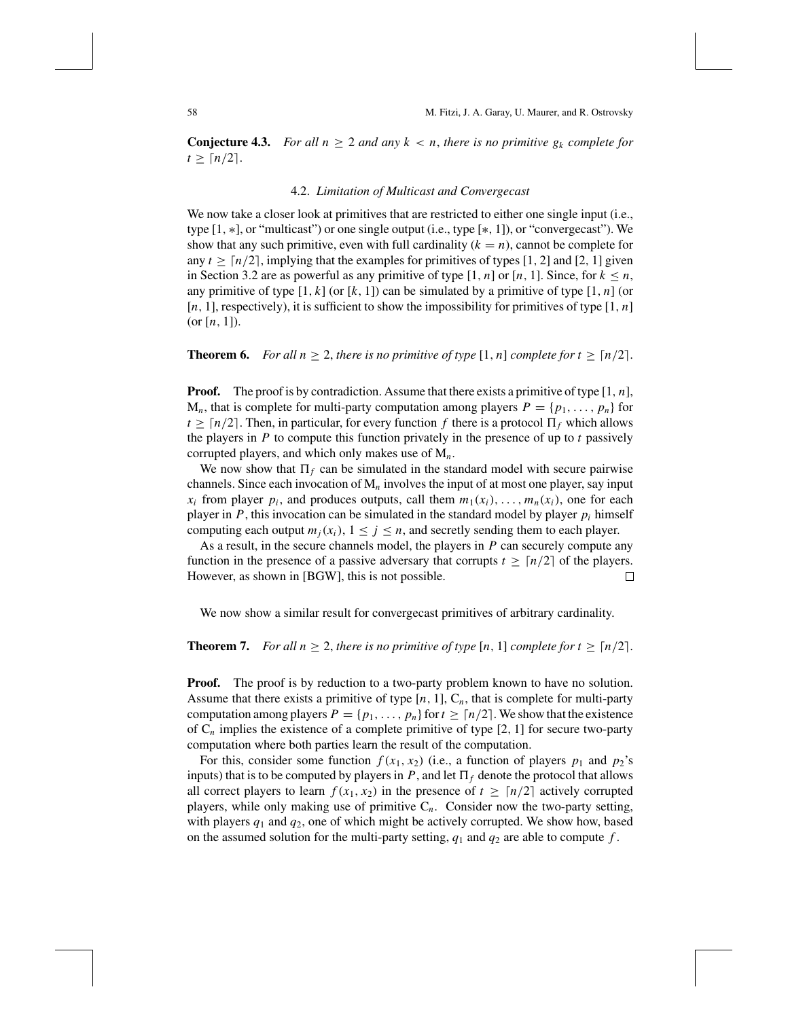**Conjecture 4.3.** *For all n*  $\geq$  2 *and any k* < *n*, *there is no primitive*  $g_k$  *complete for*  $t \geq \lceil n/2 \rceil$ .

#### 4.2. *Limitation of Multicast and Convergecast*

We now take a closer look at primitives that are restricted to either one single input (i.e., type [1, ∗], or "multicast") or one single output (i.e., type [∗, 1]), or "convergecast"). We show that any such primitive, even with full cardinality  $(k = n)$ , cannot be complete for any  $t \geq \lceil n/2 \rceil$ , implying that the examples for primitives of types [1, 2] and [2, 1] given in Section 3.2 are as powerful as any primitive of type  $[1, n]$  or  $[n, 1]$ . Since, for  $k \leq n$ , any primitive of type  $[1, k]$  (or  $[k, 1]$ ) can be simulated by a primitive of type  $[1, n]$  (or [*n*, 1], respectively), it is sufficient to show the impossibility for primitives of type [1, *n*] (or [*n*, 1]).

**Theorem 6.** *For all n*  $\geq$  2, *there is no primitive of type* [1, *n*] *complete for t*  $\geq$  [*n*/2].

**Proof.** The proof is by contradiction. Assume that there exists a primitive of type [1, *n*],  $M_n$ , that is complete for multi-party computation among players  $P = \{p_1, \ldots, p_n\}$  for  $t \geq \lceil n/2 \rceil$ . Then, in particular, for every function f there is a protocol  $\prod_f$  which allows the players in *P* to compute this function privately in the presence of up to *t* passively corrupted players, and which only makes use of M*n*.

We now show that  $\prod_f$  can be simulated in the standard model with secure pairwise channels. Since each invocation of  $M<sub>n</sub>$  involves the input of at most one player, say input  $x_i$  from player  $p_i$ , and produces outputs, call them  $m_1(x_i), \ldots, m_n(x_i)$ , one for each player in  $P$ , this invocation can be simulated in the standard model by player  $p_i$  himself computing each output  $m_j(x_i)$ ,  $1 \le j \le n$ , and secretly sending them to each player.

As a result, in the secure channels model, the players in *P* can securely compute any function in the presence of a passive adversary that corrupts  $t \geq \lceil n/2 \rceil$  of the players. However, as shown in [BGW], this is not possible. 口

We now show a similar result for convergecast primitives of arbitrary cardinality.

**Theorem 7.** *For all n*  $\geq$  2, *there is no primitive of type* [*n*, 1] *complete for t*  $\geq$  [*n*/2].

**Proof.** The proof is by reduction to a two-party problem known to have no solution. Assume that there exists a primitive of type  $[n, 1]$ ,  $C_n$ , that is complete for multi-party computation among players  $P = \{p_1, \ldots, p_n\}$  for  $t \geq \lceil n/2 \rceil$ . We show that the existence of  $C_n$  implies the existence of a complete primitive of type [2, 1] for secure two-party computation where both parties learn the result of the computation.

For this, consider some function  $f(x_1, x_2)$  (i.e., a function of players  $p_1$  and  $p_2$ 's inputs) that is to be computed by players in  $P$ , and let  $\Pi_f$  denote the protocol that allows all correct players to learn  $f(x_1, x_2)$  in the presence of  $t \geq \lceil n/2 \rceil$  actively corrupted players, while only making use of primitive C*n*. Consider now the two-party setting, with players  $q_1$  and  $q_2$ , one of which might be actively corrupted. We show how, based on the assumed solution for the multi-party setting,  $q_1$  and  $q_2$  are able to compute  $f$ .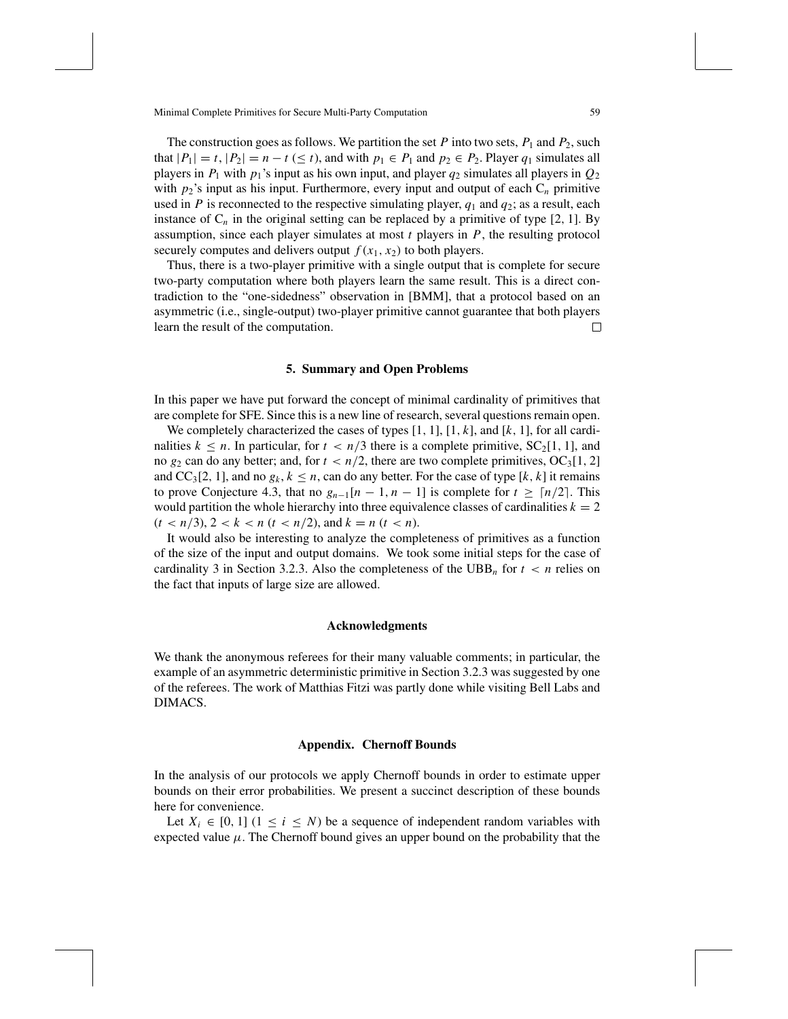The construction goes as follows. We partition the set  $P$  into two sets,  $P_1$  and  $P_2$ , such that  $|P_1| = t$ ,  $|P_2| = n - t \le t$ , and with  $p_1 \in P_1$  and  $p_2 \in P_2$ . Player  $q_1$  simulates all players in  $P_1$  with  $p_1$ 's input as his own input, and player  $q_2$  simulates all players in  $Q_2$ with  $p_2$ 's input as his input. Furthermore, every input and output of each  $C_n$  primitive used in *P* is reconnected to the respective simulating player,  $q_1$  and  $q_2$ ; as a result, each instance of  $C_n$  in the original setting can be replaced by a primitive of type  $[2, 1]$ . By assumption, since each player simulates at most *t* players in *P*, the resulting protocol securely computes and delivers output  $f(x_1, x_2)$  to both players.

Thus, there is a two-player primitive with a single output that is complete for secure two-party computation where both players learn the same result. This is a direct contradiction to the "one-sidedness" observation in [BMM], that a protocol based on an asymmetric (i.e., single-output) two-player primitive cannot guarantee that both players learn the result of the computation.  $\Box$ 

#### **5. Summary and Open Problems**

In this paper we have put forward the concept of minimal cardinality of primitives that are complete for SFE. Since this is a new line of research, several questions remain open.

We completely characterized the cases of types [1, 1], [1, *k*], and [*k*, 1], for all cardinalities  $k \leq n$ . In particular, for  $t < n/3$  there is a complete primitive,  $SC_2[1, 1]$ , and no  $g_2$  can do any better; and, for  $t < n/2$ , there are two complete primitives, OC<sub>3</sub>[1, 2] and  $CC_3[2, 1]$ , and no  $g_k, k \leq n$ , can do any better. For the case of type [k, k] it remains to prove Conjecture 4.3, that no  $g_{n-1}[n-1, n-1]$  is complete for  $t \geq \lceil n/2 \rceil$ . This would partition the whole hierarchy into three equivalence classes of cardinalities  $k = 2$  $(t < n/3)$ ,  $2 < k < n$   $(t < n/2)$ , and  $k = n$   $(t < n)$ .

It would also be interesting to analyze the completeness of primitives as a function of the size of the input and output domains. We took some initial steps for the case of cardinality 3 in Section 3.2.3. Also the completeness of the UBB<sub>n</sub> for  $t < n$  relies on the fact that inputs of large size are allowed.

#### **Acknowledgments**

We thank the anonymous referees for their many valuable comments; in particular, the example of an asymmetric deterministic primitive in Section 3.2.3 was suggested by one of the referees. The work of Matthias Fitzi was partly done while visiting Bell Labs and DIMACS.

# **Appendix. Chernoff Bounds**

In the analysis of our protocols we apply Chernoff bounds in order to estimate upper bounds on their error probabilities. We present a succinct description of these bounds here for convenience.

Let  $X_i \in [0, 1]$  ( $1 \le i \le N$ ) be a sequence of independent random variables with expected value  $\mu$ . The Chernoff bound gives an upper bound on the probability that the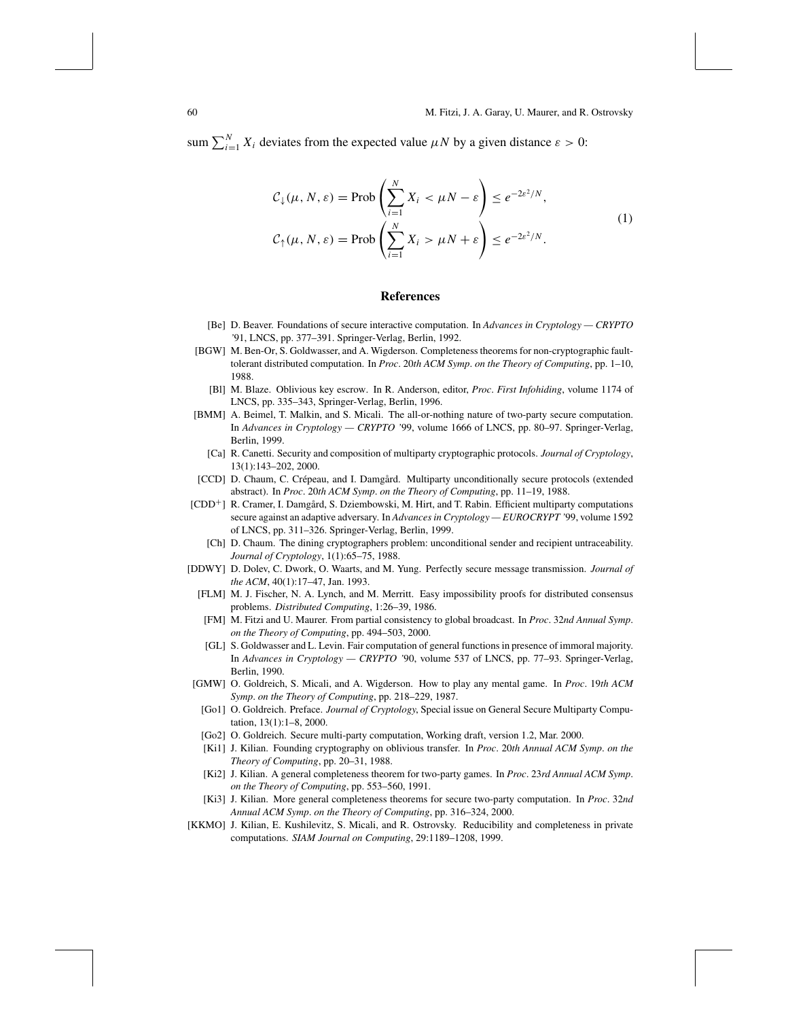sum  $\sum_{i=1}^{N} X_i$  deviates from the expected value  $\mu N$  by a given distance  $\varepsilon > 0$ :

$$
C_{\downarrow}(\mu, N, \varepsilon) = \text{Prob}\left(\sum_{i=1}^{N} X_i < \mu N - \varepsilon\right) \le e^{-2\varepsilon^2/N},
$$
\n
$$
C_{\uparrow}(\mu, N, \varepsilon) = \text{Prob}\left(\sum_{i=1}^{N} X_i > \mu N + \varepsilon\right) \le e^{-2\varepsilon^2/N}.
$$
\n
$$
(1)
$$

#### **References**

- [Be] D. Beaver. Foundations of secure interactive computation. In *Advances in Cryptology CRYPTO '*91, LNCS, pp. 377–391. Springer-Verlag, Berlin, 1992.
- [BGW] M. Ben-Or, S. Goldwasser, and A. Wigderson. Completeness theorems for non-cryptographic faulttolerant distributed computation. In *Proc*. 20*th ACM Symp*. *on the Theory of Computing*, pp. 1–10, 1988.
	- [Bl] M. Blaze. Oblivious key escrow. In R. Anderson, editor, *Proc*. *First Infohiding*, volume 1174 of LNCS, pp. 335–343, Springer-Verlag, Berlin, 1996.
- [BMM] A. Beimel, T. Malkin, and S. Micali. The all-or-nothing nature of two-party secure computation. In *Advances in Cryptology — CRYPTO '*99, volume 1666 of LNCS, pp. 80–97. Springer-Verlag, Berlin, 1999.
	- [Ca] R. Canetti. Security and composition of multiparty cryptographic protocols. *Journal of Cryptology*, 13(1):143–202, 2000.
- [CCD] D. Chaum, C. Crépeau, and I. Damgård. Multiparty unconditionally secure protocols (extended abstract). In *Proc*. 20*th ACM Symp*. *on the Theory of Computing*, pp. 11–19, 1988.
- [CDD<sup>+</sup>] R. Cramer, I. Damgård, S. Dziembowski, M. Hirt, and T. Rabin. Efficient multiparty computations secure against an adaptive adversary. In *Advances in Cryptology — EUROCRYPT '*99, volume 1592 of LNCS, pp. 311–326. Springer-Verlag, Berlin, 1999.
	- [Ch] D. Chaum. The dining cryptographers problem: unconditional sender and recipient untraceability. *Journal of Cryptology*, 1(1):65–75, 1988.
- [DDWY] D. Dolev, C. Dwork, O. Waarts, and M. Yung. Perfectly secure message transmission. *Journal of the ACM*, 40(1):17–47, Jan. 1993.
	- [FLM] M. J. Fischer, N. A. Lynch, and M. Merritt. Easy impossibility proofs for distributed consensus problems. *Distributed Computing*, 1:26–39, 1986.
	- [FM] M. Fitzi and U. Maurer. From partial consistency to global broadcast. In *Proc*. 32*nd Annual Symp*. *on the Theory of Computing*, pp. 494–503, 2000.
	- [GL] S. Goldwasser and L. Levin. Fair computation of general functions in presence of immoral majority. In *Advances in Cryptology — CRYPTO '*90, volume 537 of LNCS, pp. 77–93. Springer-Verlag, Berlin, 1990.
- [GMW] O. Goldreich, S. Micali, and A. Wigderson. How to play any mental game. In *Proc*. 19*th ACM Symp*. *on the Theory of Computing*, pp. 218–229, 1987.
	- [Go1] O. Goldreich. Preface. *Journal of Cryptology*, Special issue on General Secure Multiparty Computation, 13(1):1–8, 2000.
	- [Go2] O. Goldreich. Secure multi-party computation, Working draft, version 1.2, Mar. 2000.
	- [Ki1] J. Kilian. Founding cryptography on oblivious transfer. In *Proc*. 20*th Annual ACM Symp*. *on the Theory of Computing*, pp. 20–31, 1988.
	- [Ki2] J. Kilian. A general completeness theorem for two-party games. In *Proc*. 23*rd Annual ACM Symp*. *on the Theory of Computing*, pp. 553–560, 1991.
	- [Ki3] J. Kilian. More general completeness theorems for secure two-party computation. In *Proc*. 32*nd Annual ACM Symp*. *on the Theory of Computing*, pp. 316–324, 2000.
- [KKMO] J. Kilian, E. Kushilevitz, S. Micali, and R. Ostrovsky. Reducibility and completeness in private computations. *SIAM Journal on Computing*, 29:1189–1208, 1999.